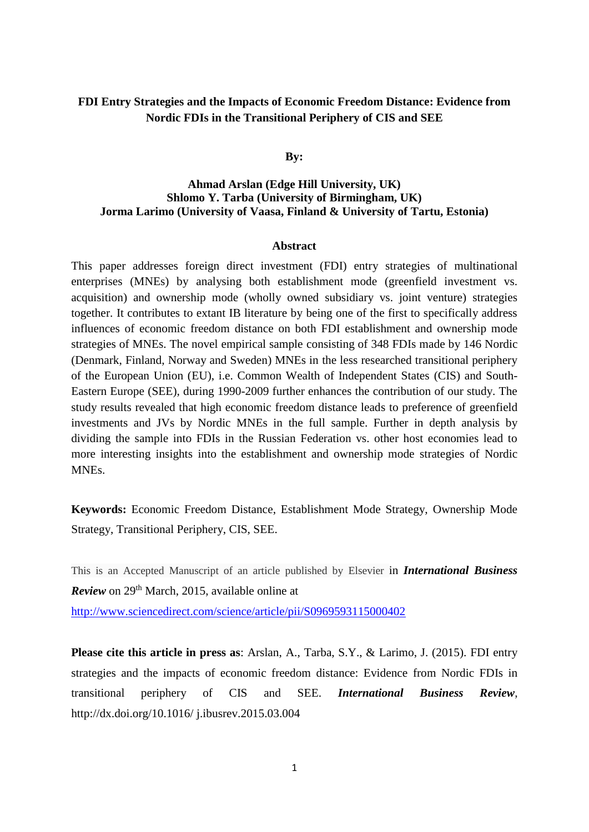## **FDI Entry Strategies and the Impacts of Economic Freedom Distance: Evidence from Nordic FDIs in the Transitional Periphery of CIS and SEE**

#### **By:**

## **Ahmad Arslan (Edge Hill University, UK) Shlomo Y. Tarba (University of Birmingham, UK) Jorma Larimo (University of Vaasa, Finland & University of Tartu, Estonia)**

#### **Abstract**

This paper addresses foreign direct investment (FDI) entry strategies of multinational enterprises (MNEs) by analysing both establishment mode (greenfield investment vs. acquisition) and ownership mode (wholly owned subsidiary vs. joint venture) strategies together. It contributes to extant IB literature by being one of the first to specifically address influences of economic freedom distance on both FDI establishment and ownership mode strategies of MNEs. The novel empirical sample consisting of 348 FDIs made by 146 Nordic (Denmark, Finland, Norway and Sweden) MNEs in the less researched transitional periphery of the European Union (EU), i.e. Common Wealth of Independent States (CIS) and South-Eastern Europe (SEE), during 1990-2009 further enhances the contribution of our study. The study results revealed that high economic freedom distance leads to preference of greenfield investments and JVs by Nordic MNEs in the full sample. Further in depth analysis by dividing the sample into FDIs in the Russian Federation vs. other host economies lead to more interesting insights into the establishment and ownership mode strategies of Nordic MNEs.

**Keywords:** Economic Freedom Distance, Establishment Mode Strategy, Ownership Mode Strategy, Transitional Periphery, CIS, SEE.

This is an Accepted Manuscript of an article published by Elsevier in *International Business*  **Review** on 29<sup>th</sup> March, 2015, available online at

<http://www.sciencedirect.com/science/article/pii/S0969593115000402>

**Please cite this article in press as**: Arslan, A., Tarba, S.Y., & Larimo, J. (2015). FDI entry strategies and the impacts of economic freedom distance: Evidence from Nordic FDIs in transitional periphery of CIS and SEE. *International Business Review*, http://dx.doi.org/10.1016/ j.ibusrev.2015.03.004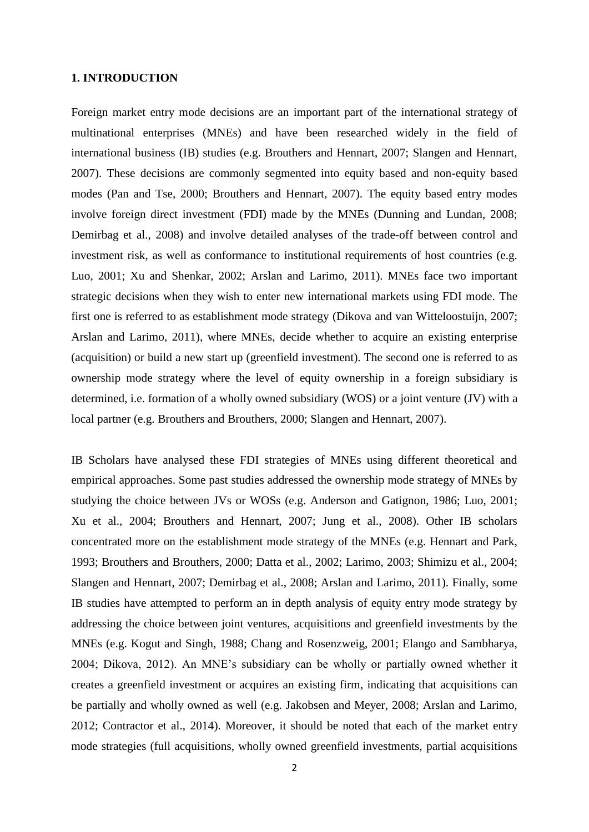## **1. INTRODUCTION**

Foreign market entry mode decisions are an important part of the international strategy of multinational enterprises (MNEs) and have been researched widely in the field of international business (IB) studies (e.g. Brouthers and Hennart, 2007; Slangen and Hennart, 2007). These decisions are commonly segmented into equity based and non-equity based modes (Pan and Tse, 2000; Brouthers and Hennart, 2007). The equity based entry modes involve foreign direct investment (FDI) made by the MNEs (Dunning and Lundan, 2008; Demirbag et al., 2008) and involve detailed analyses of the trade-off between control and investment risk, as well as conformance to institutional requirements of host countries (e.g. Luo, 2001; Xu and Shenkar, 2002; Arslan and Larimo, 2011). MNEs face two important strategic decisions when they wish to enter new international markets using FDI mode. The first one is referred to as establishment mode strategy (Dikova and van Witteloostuijn, 2007; Arslan and Larimo, 2011), where MNEs, decide whether to acquire an existing enterprise (acquisition) or build a new start up (greenfield investment). The second one is referred to as ownership mode strategy where the level of equity ownership in a foreign subsidiary is determined, i.e. formation of a wholly owned subsidiary (WOS) or a joint venture (JV) with a local partner (e.g. Brouthers and Brouthers, 2000; Slangen and Hennart, 2007).

IB Scholars have analysed these FDI strategies of MNEs using different theoretical and empirical approaches. Some past studies addressed the ownership mode strategy of MNEs by studying the choice between JVs or WOSs (e.g. Anderson and Gatignon, 1986; Luo, 2001; Xu et al., 2004; Brouthers and Hennart, 2007; Jung et al., 2008). Other IB scholars concentrated more on the establishment mode strategy of the MNEs (e.g. Hennart and Park, 1993; Brouthers and Brouthers, 2000; Datta et al., 2002; Larimo, 2003; Shimizu et al., 2004; Slangen and Hennart, 2007; Demirbag et al., 2008; Arslan and Larimo, 2011). Finally, some IB studies have attempted to perform an in depth analysis of equity entry mode strategy by addressing the choice between joint ventures, acquisitions and greenfield investments by the MNEs (e.g. Kogut and Singh, 1988; Chang and Rosenzweig, 2001; Elango and Sambharya, 2004; Dikova, 2012). An MNE's subsidiary can be wholly or partially owned whether it creates a greenfield investment or acquires an existing firm, indicating that acquisitions can be partially and wholly owned as well (e.g. Jakobsen and Meyer, 2008; Arslan and Larimo, 2012; Contractor et al., 2014). Moreover, it should be noted that each of the market entry mode strategies (full acquisitions, wholly owned greenfield investments, partial acquisitions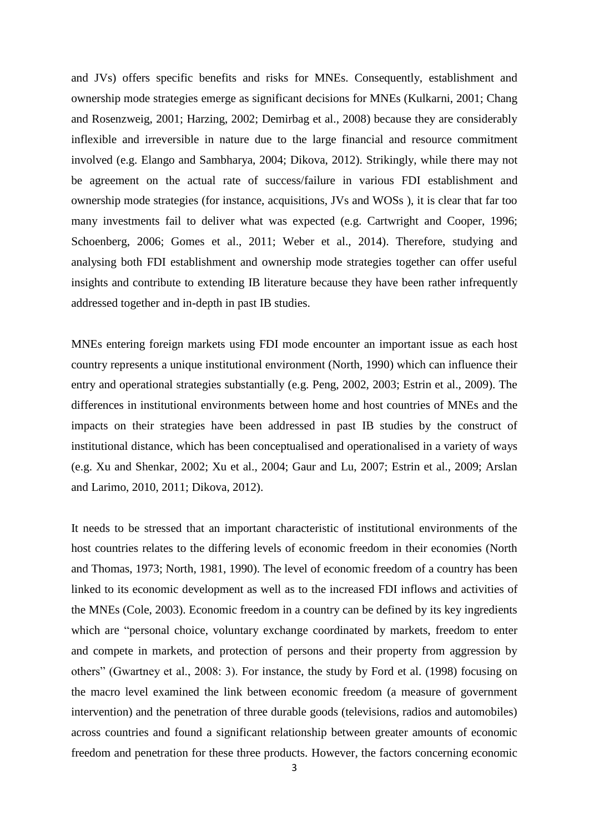and JVs) offers specific benefits and risks for MNEs. Consequently, establishment and ownership mode strategies emerge as significant decisions for MNEs (Kulkarni, 2001; Chang and Rosenzweig, 2001; Harzing, 2002; Demirbag et al., 2008) because they are considerably inflexible and irreversible in nature due to the large financial and resource commitment involved (e.g. Elango and Sambharya, 2004; Dikova, 2012). Strikingly, while there may not be agreement on the actual rate of success/failure in various FDI establishment and ownership mode strategies (for instance, acquisitions, JVs and WOSs ), it is clear that far too many investments fail to deliver what was expected (e.g. Cartwright and Cooper, 1996; Schoenberg, 2006; Gomes et al., 2011; Weber et al., 2014). Therefore, studying and analysing both FDI establishment and ownership mode strategies together can offer useful insights and contribute to extending IB literature because they have been rather infrequently addressed together and in-depth in past IB studies.

MNEs entering foreign markets using FDI mode encounter an important issue as each host country represents a unique institutional environment (North, 1990) which can influence their entry and operational strategies substantially (e.g. Peng, 2002, 2003; Estrin et al., 2009). The differences in institutional environments between home and host countries of MNEs and the impacts on their strategies have been addressed in past IB studies by the construct of institutional distance, which has been conceptualised and operationalised in a variety of ways (e.g. Xu and Shenkar, 2002; Xu et al., 2004; Gaur and Lu, 2007; Estrin et al., 2009; Arslan and Larimo, 2010, 2011; Dikova, 2012).

It needs to be stressed that an important characteristic of institutional environments of the host countries relates to the differing levels of economic freedom in their economies (North and Thomas, 1973; North, 1981, 1990). The level of economic freedom of a country has been linked to its economic development as well as to the increased FDI inflows and activities of the MNEs (Cole, 2003). Economic freedom in a country can be defined by its key ingredients which are "personal choice, voluntary exchange coordinated by markets, freedom to enter and compete in markets, and protection of persons and their property from aggression by others" (Gwartney et al., 2008: 3). For instance, the study by Ford et al. (1998) focusing on the macro level examined the link between economic freedom (a measure of government intervention) and the penetration of three durable goods (televisions, radios and automobiles) across countries and found a significant relationship between greater amounts of economic freedom and penetration for these three products. However, the factors concerning economic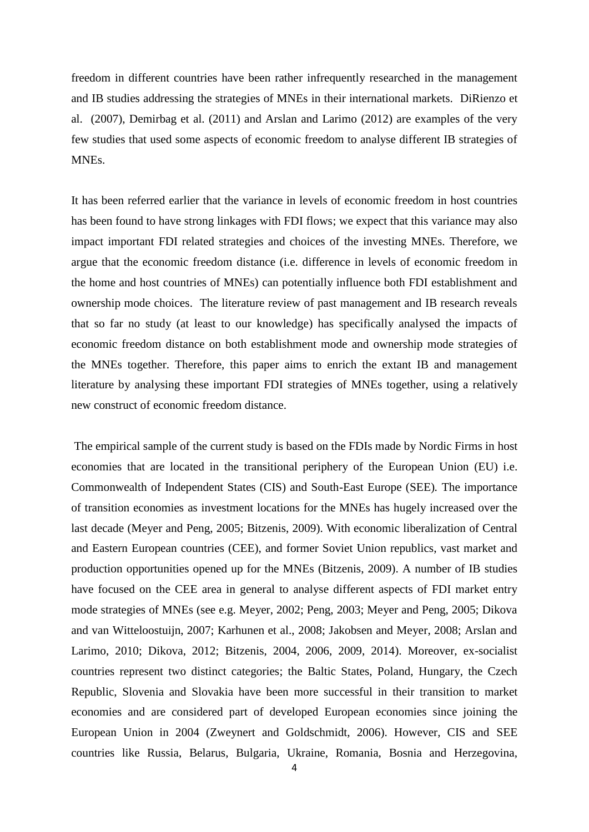freedom in different countries have been rather infrequently researched in the management and IB studies addressing the strategies of MNEs in their international markets. DiRienzo et al. (2007), Demirbag et al. (2011) and Arslan and Larimo (2012) are examples of the very few studies that used some aspects of economic freedom to analyse different IB strategies of MNEs.

It has been referred earlier that the variance in levels of economic freedom in host countries has been found to have strong linkages with FDI flows; we expect that this variance may also impact important FDI related strategies and choices of the investing MNEs. Therefore, we argue that the economic freedom distance (i.e. difference in levels of economic freedom in the home and host countries of MNEs) can potentially influence both FDI establishment and ownership mode choices. The literature review of past management and IB research reveals that so far no study (at least to our knowledge) has specifically analysed the impacts of economic freedom distance on both establishment mode and ownership mode strategies of the MNEs together. Therefore, this paper aims to enrich the extant IB and management literature by analysing these important FDI strategies of MNEs together, using a relatively new construct of economic freedom distance.

The empirical sample of the current study is based on the FDIs made by Nordic Firms in host economies that are located in the transitional periphery of the European Union (EU) i.e. Commonwealth of Independent States (CIS) and South-East Europe (SEE)*.* The importance of transition economies as investment locations for the MNEs has hugely increased over the last decade (Meyer and Peng, 2005; Bitzenis, 2009). With economic liberalization of Central and Eastern European countries (CEE), and former Soviet Union republics, vast market and production opportunities opened up for the MNEs (Bitzenis, 2009). A number of IB studies have focused on the CEE area in general to analyse different aspects of FDI market entry mode strategies of MNEs (see e.g. Meyer, 2002; Peng, 2003; Meyer and Peng, 2005; Dikova and van Witteloostuijn, 2007; Karhunen et al., 2008; Jakobsen and Meyer, 2008; Arslan and Larimo, 2010; Dikova, 2012; Bitzenis, 2004, 2006, 2009, 2014). Moreover, ex-socialist countries represent two distinct categories; the Baltic States, Poland, Hungary, the Czech Republic, Slovenia and Slovakia have been more successful in their transition to market economies and are considered part of developed European economies since joining the European Union in 2004 (Zweynert and Goldschmidt, 2006). However, CIS and SEE countries like Russia, Belarus, Bulgaria, Ukraine, Romania, Bosnia and Herzegovina,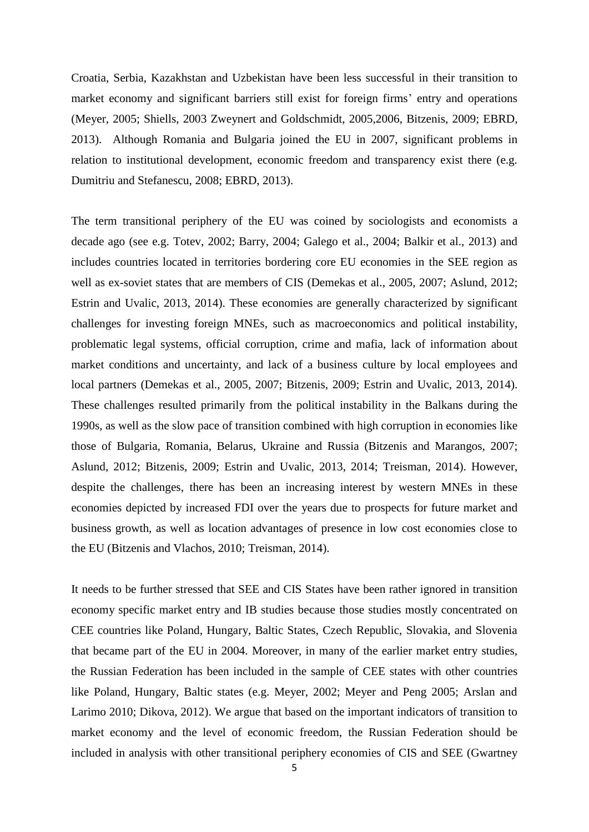Croatia, Serbia, Kazakhstan and Uzbekistan have been less successful in their transition to market economy and significant barriers still exist for foreign firms' entry and operations (Meyer, 2005; Shiells, 2003 Zweynert and Goldschmidt, 2005,2006, Bitzenis, 2009; EBRD, 2013). Although Romania and Bulgaria joined the EU in 2007, significant problems in relation to institutional development, economic freedom and transparency exist there (e.g. Dumitriu and Stefanescu, 2008; EBRD, 2013).

The term transitional periphery of the EU was coined by sociologists and economists a decade ago (see e.g. Totev, 2002; Barry, 2004; Galego et al., 2004; Balkir et al., 2013) and includes countries located in territories bordering core EU economies in the SEE region as well as ex-soviet states that are members of CIS (Demekas et al., 2005, 2007; Aslund, 2012; Estrin and Uvalic, 2013, 2014). These economies are generally characterized by significant challenges for investing foreign MNEs, such as macroeconomics and political instability, problematic legal systems, official corruption, crime and mafia, lack of information about market conditions and uncertainty, and lack of a business culture by local employees and local partners (Demekas et al., 2005, 2007; Bitzenis, 2009; Estrin and Uvalic, 2013, 2014). These challenges resulted primarily from the political instability in the Balkans during the 1990s, as well as the slow pace of transition combined with high corruption in economies like those of Bulgaria, Romania, Belarus, Ukraine and Russia (Bitzenis and Marangos, 2007; Aslund, 2012; Bitzenis, 2009; Estrin and Uvalic, 2013, 2014; Treisman, 2014). However, despite the challenges, there has been an increasing interest by western MNEs in these economies depicted by increased FDI over the years due to prospects for future market and business growth, as well as location advantages of presence in low cost economies close to the EU (Bitzenis and Vlachos, 2010; Treisman, 2014).

It needs to be further stressed that SEE and CIS States have been rather ignored in transition economy specific market entry and IB studies because those studies mostly concentrated on CEE countries like Poland, Hungary, Baltic States, Czech Republic, Slovakia, and Slovenia that became part of the EU in 2004. Moreover, in many of the earlier market entry studies, the Russian Federation has been included in the sample of CEE states with other countries like Poland, Hungary, Baltic states (e.g. Meyer, 2002; Meyer and Peng 2005; Arslan and Larimo 2010; Dikova, 2012). We argue that based on the important indicators of transition to market economy and the level of economic freedom, the Russian Federation should be included in analysis with other transitional periphery economies of CIS and SEE (Gwartney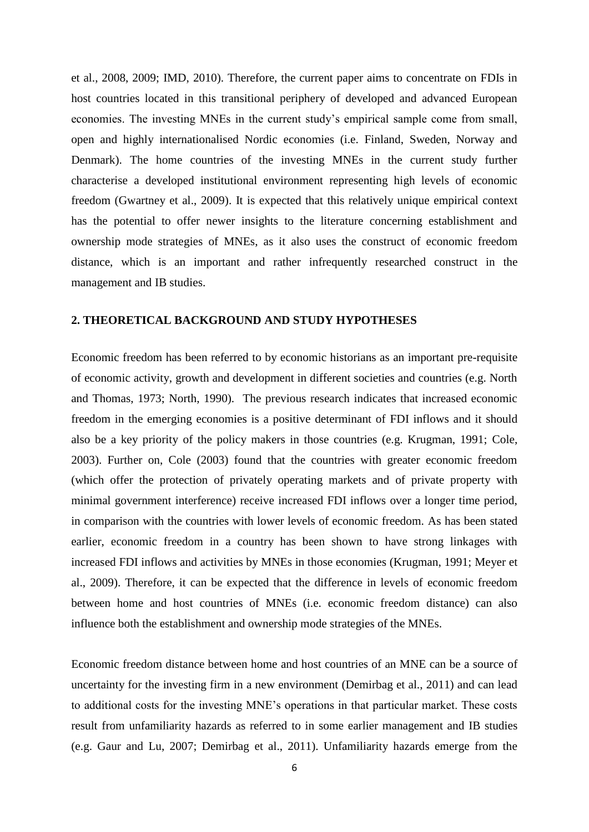et al., 2008, 2009; IMD, 2010). Therefore, the current paper aims to concentrate on FDIs in host countries located in this transitional periphery of developed and advanced European economies. The investing MNEs in the current study's empirical sample come from small, open and highly internationalised Nordic economies (i.e. Finland, Sweden, Norway and Denmark). The home countries of the investing MNEs in the current study further characterise a developed institutional environment representing high levels of economic freedom (Gwartney et al., 2009). It is expected that this relatively unique empirical context has the potential to offer newer insights to the literature concerning establishment and ownership mode strategies of MNEs, as it also uses the construct of economic freedom distance, which is an important and rather infrequently researched construct in the management and IB studies.

## **2. THEORETICAL BACKGROUND AND STUDY HYPOTHESES**

Economic freedom has been referred to by economic historians as an important pre-requisite of economic activity, growth and development in different societies and countries (e.g. North and Thomas, 1973; North, 1990). The previous research indicates that increased economic freedom in the emerging economies is a positive determinant of FDI inflows and it should also be a key priority of the policy makers in those countries (e.g. Krugman, 1991; Cole, 2003). Further on, Cole (2003) found that the countries with greater economic freedom (which offer the protection of privately operating markets and of private property with minimal government interference) receive increased FDI inflows over a longer time period, in comparison with the countries with lower levels of economic freedom. As has been stated earlier, economic freedom in a country has been shown to have strong linkages with increased FDI inflows and activities by MNEs in those economies (Krugman, 1991; Meyer et al., 2009). Therefore, it can be expected that the difference in levels of economic freedom between home and host countries of MNEs (i.e. economic freedom distance) can also influence both the establishment and ownership mode strategies of the MNEs.

Economic freedom distance between home and host countries of an MNE can be a source of uncertainty for the investing firm in a new environment (Demirbag et al., 2011) and can lead to additional costs for the investing MNE's operations in that particular market. These costs result from unfamiliarity hazards as referred to in some earlier management and IB studies (e.g. Gaur and Lu, 2007; Demirbag et al., 2011). Unfamiliarity hazards emerge from the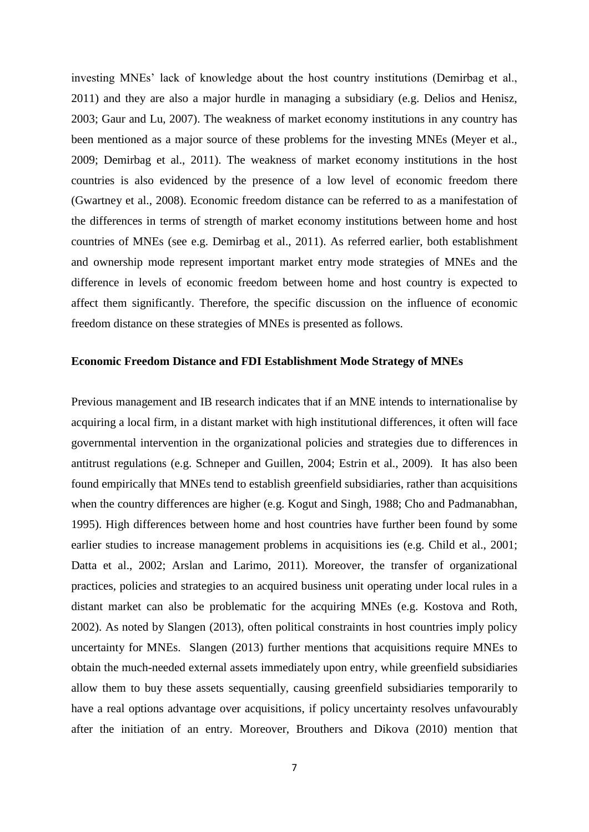investing MNEs' lack of knowledge about the host country institutions (Demirbag et al., 2011) and they are also a major hurdle in managing a subsidiary (e.g. Delios and Henisz, 2003; Gaur and Lu, 2007). The weakness of market economy institutions in any country has been mentioned as a major source of these problems for the investing MNEs (Meyer et al., 2009; Demirbag et al., 2011). The weakness of market economy institutions in the host countries is also evidenced by the presence of a low level of economic freedom there (Gwartney et al., 2008). Economic freedom distance can be referred to as a manifestation of the differences in terms of strength of market economy institutions between home and host countries of MNEs (see e.g. Demirbag et al., 2011). As referred earlier, both establishment and ownership mode represent important market entry mode strategies of MNEs and the difference in levels of economic freedom between home and host country is expected to affect them significantly. Therefore, the specific discussion on the influence of economic freedom distance on these strategies of MNEs is presented as follows.

#### **Economic Freedom Distance and FDI Establishment Mode Strategy of MNEs**

Previous management and IB research indicates that if an MNE intends to internationalise by acquiring a local firm, in a distant market with high institutional differences, it often will face governmental intervention in the organizational policies and strategies due to differences in antitrust regulations (e.g. Schneper and Guillen, 2004; Estrin et al., 2009). It has also been found empirically that MNEs tend to establish greenfield subsidiaries, rather than acquisitions when the country differences are higher (e.g. Kogut and Singh, 1988; Cho and Padmanabhan, 1995). High differences between home and host countries have further been found by some earlier studies to increase management problems in acquisitions ies (e.g. Child et al., 2001; Datta et al., 2002; Arslan and Larimo, 2011). Moreover, the transfer of organizational practices, policies and strategies to an acquired business unit operating under local rules in a distant market can also be problematic for the acquiring MNEs (e.g. Kostova and Roth, 2002). As noted by Slangen (2013), often political constraints in host countries imply policy uncertainty for MNEs. Slangen (2013) further mentions that acquisitions require MNEs to obtain the much-needed external assets immediately upon entry, while greenfield subsidiaries allow them to buy these assets sequentially, causing greenfield subsidiaries temporarily to have a real options advantage over acquisitions, if policy uncertainty resolves unfavourably after the initiation of an entry. Moreover, Brouthers and Dikova (2010) mention that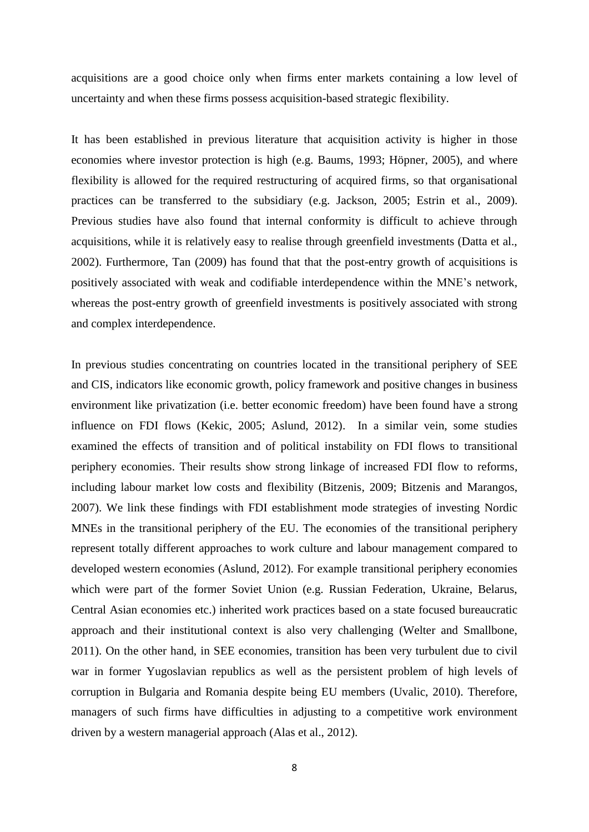acquisitions are a good choice only when firms enter markets containing a low level of uncertainty and when these firms possess acquisition-based strategic flexibility.

It has been established in previous literature that acquisition activity is higher in those economies where investor protection is high (e.g. Baums, 1993; Höpner, 2005), and where flexibility is allowed for the required restructuring of acquired firms, so that organisational practices can be transferred to the subsidiary (e.g. Jackson, 2005; Estrin et al., 2009). Previous studies have also found that internal conformity is difficult to achieve through acquisitions, while it is relatively easy to realise through greenfield investments (Datta et al., 2002). Furthermore, Tan (2009) has found that that the post-entry growth of acquisitions is positively associated with weak and codifiable interdependence within the MNE's network, whereas the post-entry growth of greenfield investments is positively associated with strong and complex interdependence.

In previous studies concentrating on countries located in the transitional periphery of SEE and CIS, indicators like economic growth, policy framework and positive changes in business environment like privatization (i.e. better economic freedom) have been found have a strong influence on FDI flows (Kekic, 2005; Aslund, 2012). In a similar vein, some studies examined the effects of transition and of political instability on FDI flows to transitional periphery economies. Their results show strong linkage of increased FDI flow to reforms, including labour market low costs and flexibility (Bitzenis, 2009; Bitzenis and Marangos, 2007). We link these findings with FDI establishment mode strategies of investing Nordic MNEs in the transitional periphery of the EU. The economies of the transitional periphery represent totally different approaches to work culture and labour management compared to developed western economies (Aslund, 2012). For example transitional periphery economies which were part of the former Soviet Union (e.g. Russian Federation, Ukraine, Belarus, Central Asian economies etc.) inherited work practices based on a state focused bureaucratic approach and their institutional context is also very challenging (Welter and Smallbone, 2011). On the other hand, in SEE economies, transition has been very turbulent due to civil war in former Yugoslavian republics as well as the persistent problem of high levels of corruption in Bulgaria and Romania despite being EU members (Uvalic, 2010). Therefore, managers of such firms have difficulties in adjusting to a competitive work environment driven by a western managerial approach (Alas et al., 2012).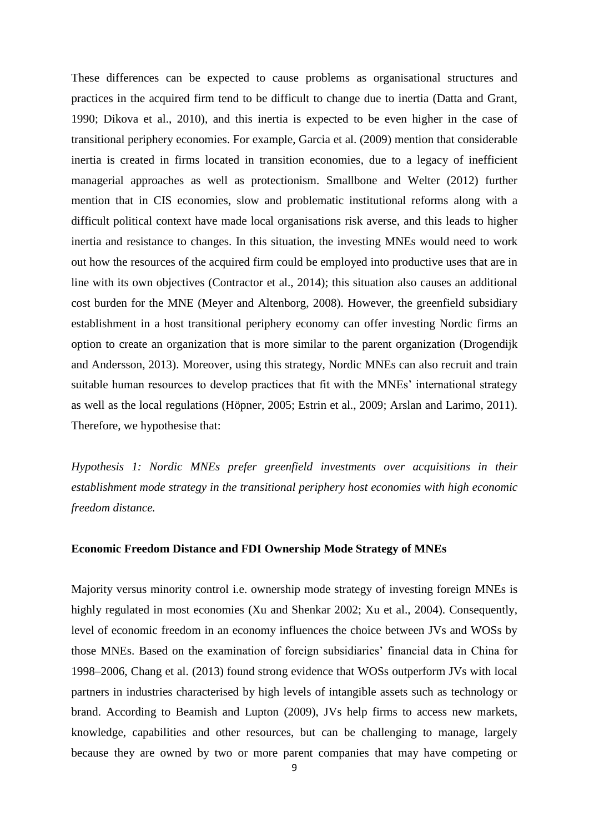These differences can be expected to cause problems as organisational structures and practices in the acquired firm tend to be difficult to change due to inertia (Datta and Grant, 1990; Dikova et al., 2010), and this inertia is expected to be even higher in the case of transitional periphery economies. For example, Garcia et al. (2009) mention that considerable inertia is created in firms located in transition economies, due to a legacy of inefficient managerial approaches as well as protectionism. Smallbone and Welter (2012) further mention that in CIS economies, slow and problematic institutional reforms along with a difficult political context have made local organisations risk averse, and this leads to higher inertia and resistance to changes. In this situation, the investing MNEs would need to work out how the resources of the acquired firm could be employed into productive uses that are in line with its own objectives (Contractor et al., 2014); this situation also causes an additional cost burden for the MNE (Meyer and Altenborg, 2008). However, the greenfield subsidiary establishment in a host transitional periphery economy can offer investing Nordic firms an option to create an organization that is more similar to the parent organization (Drogendijk and Andersson, 2013). Moreover, using this strategy, Nordic MNEs can also recruit and train suitable human resources to develop practices that fit with the MNEs' international strategy as well as the local regulations (Höpner, 2005; Estrin et al., 2009; Arslan and Larimo, 2011). Therefore, we hypothesise that:

*Hypothesis 1: Nordic MNEs prefer greenfield investments over acquisitions in their establishment mode strategy in the transitional periphery host economies with high economic freedom distance.* 

#### **Economic Freedom Distance and FDI Ownership Mode Strategy of MNEs**

Majority versus minority control i.e. ownership mode strategy of investing foreign MNEs is highly regulated in most economies (Xu and Shenkar 2002; Xu et al., 2004). Consequently, level of economic freedom in an economy influences the choice between JVs and WOSs by those MNEs. Based on the examination of foreign subsidiaries' financial data in China for 1998–2006, Chang et al. (2013) found strong evidence that WOSs outperform JVs with local partners in industries characterised by high levels of intangible assets such as technology or brand. According to Beamish and Lupton (2009), JVs help firms to access new markets, knowledge, capabilities and other resources, but can be challenging to manage, largely because they are owned by two or more parent companies that may have competing or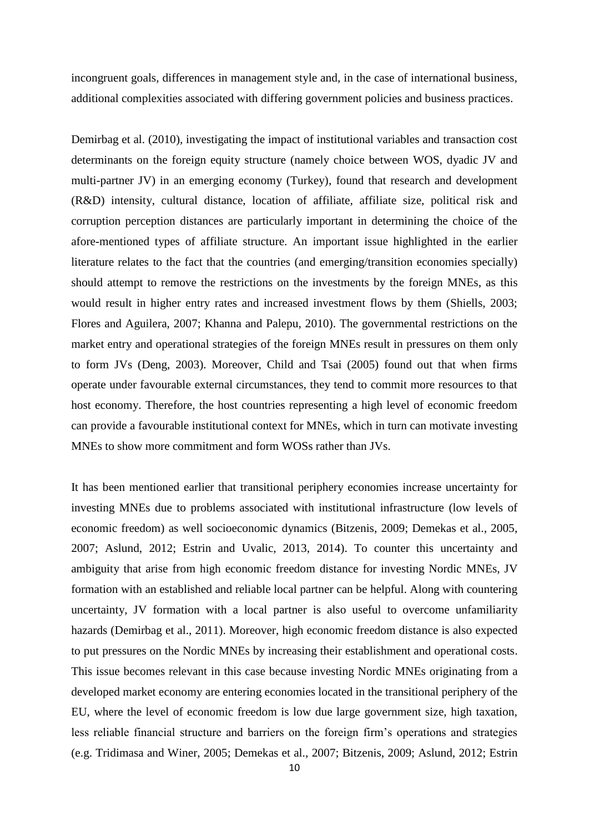incongruent goals, differences in management style and, in the case of international business, additional complexities associated with differing government policies and business practices.

Demirbag et al. (2010), investigating the impact of institutional variables and transaction cost determinants on the foreign equity structure (namely choice between WOS, dyadic JV and multi-partner JV) in an emerging economy (Turkey), found that research and development (R&D) intensity, cultural distance, location of affiliate, affiliate size, political risk and corruption perception distances are particularly important in determining the choice of the afore-mentioned types of affiliate structure. An important issue highlighted in the earlier literature relates to the fact that the countries (and emerging/transition economies specially) should attempt to remove the restrictions on the investments by the foreign MNEs, as this would result in higher entry rates and increased investment flows by them (Shiells, 2003; Flores and Aguilera, 2007; Khanna and Palepu, 2010). The governmental restrictions on the market entry and operational strategies of the foreign MNEs result in pressures on them only to form JVs (Deng, 2003). Moreover, Child and Tsai (2005) found out that when firms operate under favourable external circumstances, they tend to commit more resources to that host economy. Therefore, the host countries representing a high level of economic freedom can provide a favourable institutional context for MNEs, which in turn can motivate investing MNEs to show more commitment and form WOSs rather than JVs.

It has been mentioned earlier that transitional periphery economies increase uncertainty for investing MNEs due to problems associated with institutional infrastructure (low levels of economic freedom) as well socioeconomic dynamics (Bitzenis, 2009; Demekas et al., 2005, 2007; Aslund, 2012; Estrin and Uvalic, 2013, 2014). To counter this uncertainty and ambiguity that arise from high economic freedom distance for investing Nordic MNEs, JV formation with an established and reliable local partner can be helpful. Along with countering uncertainty, JV formation with a local partner is also useful to overcome unfamiliarity hazards (Demirbag et al., 2011). Moreover, high economic freedom distance is also expected to put pressures on the Nordic MNEs by increasing their establishment and operational costs. This issue becomes relevant in this case because investing Nordic MNEs originating from a developed market economy are entering economies located in the transitional periphery of the EU, where the level of economic freedom is low due large government size, high taxation, less reliable financial structure and barriers on the foreign firm's operations and strategies (e.g. Tridimasa and Winer, 2005; Demekas et al., 2007; Bitzenis, 2009; Aslund, 2012; Estrin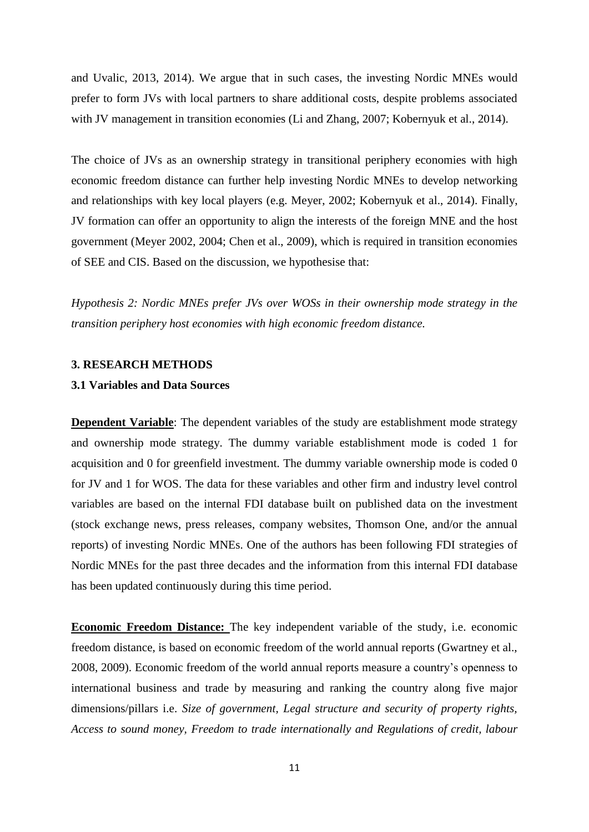and Uvalic, 2013, 2014). We argue that in such cases, the investing Nordic MNEs would prefer to form JVs with local partners to share additional costs, despite problems associated with JV management in transition economies (Li and Zhang, 2007; Kobernyuk et al., 2014).

The choice of JVs as an ownership strategy in transitional periphery economies with high economic freedom distance can further help investing Nordic MNEs to develop networking and relationships with key local players (e.g. Meyer, 2002; Kobernyuk et al., 2014). Finally, JV formation can offer an opportunity to align the interests of the foreign MNE and the host government (Meyer 2002, 2004; Chen et al., 2009), which is required in transition economies of SEE and CIS. Based on the discussion, we hypothesise that:

*Hypothesis 2: Nordic MNEs prefer JVs over WOSs in their ownership mode strategy in the transition periphery host economies with high economic freedom distance.* 

## **3. RESEARCH METHODS**

## **3.1 Variables and Data Sources**

**Dependent Variable**: The dependent variables of the study are establishment mode strategy and ownership mode strategy. The dummy variable establishment mode is coded 1 for acquisition and 0 for greenfield investment. The dummy variable ownership mode is coded 0 for JV and 1 for WOS. The data for these variables and other firm and industry level control variables are based on the internal FDI database built on published data on the investment (stock exchange news, press releases, company websites, Thomson One, and/or the annual reports) of investing Nordic MNEs. One of the authors has been following FDI strategies of Nordic MNEs for the past three decades and the information from this internal FDI database has been updated continuously during this time period.

**Economic Freedom Distance:** The key independent variable of the study, i.e. economic freedom distance, is based on economic freedom of the world annual reports (Gwartney et al., 2008, 2009). Economic freedom of the world annual reports measure a country's openness to international business and trade by measuring and ranking the country along five major dimensions/pillars i.e. *Size of government, Legal structure and security of property rights, Access to sound money, Freedom to trade internationally and Regulations of credit, labour*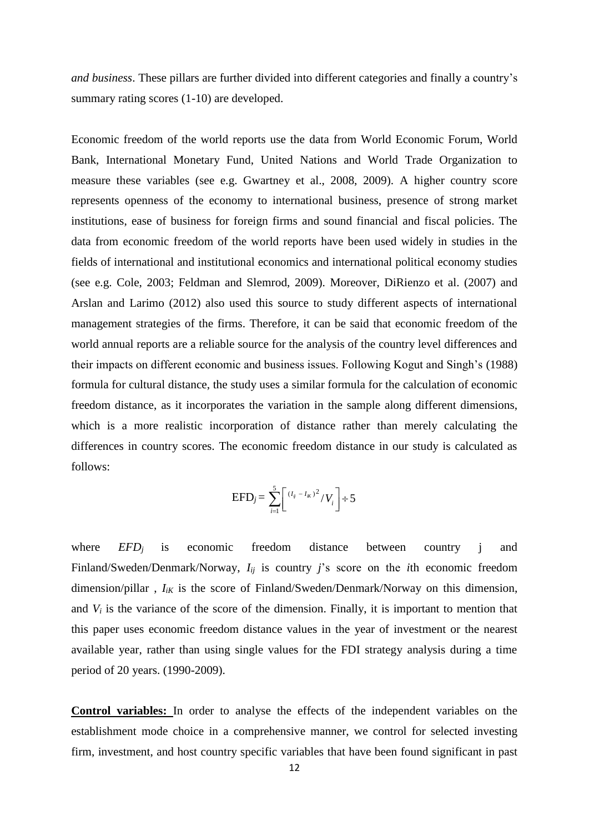*and business*. These pillars are further divided into different categories and finally a country's summary rating scores  $(1-10)$  are developed.

Economic freedom of the world reports use the data from World Economic Forum, World Bank, International Monetary Fund, United Nations and World Trade Organization to measure these variables (see e.g. Gwartney et al., 2008, 2009). A higher country score represents openness of the economy to international business, presence of strong market institutions, ease of business for foreign firms and sound financial and fiscal policies. The data from economic freedom of the world reports have been used widely in studies in the fields of international and institutional economics and international political economy studies (see e.g. Cole, 2003; Feldman and Slemrod, 2009). Moreover, DiRienzo et al. (2007) and Arslan and Larimo (2012) also used this source to study different aspects of international management strategies of the firms. Therefore, it can be said that economic freedom of the world annual reports are a reliable source for the analysis of the country level differences and their impacts on different economic and business issues. Following Kogut and Singh's (1988) formula for cultural distance, the study uses a similar formula for the calculation of economic freedom distance, as it incorporates the variation in the sample along different dimensions, which is a more realistic incorporation of distance rather than merely calculating the differences in country scores. The economic freedom distance in our study is calculated as follows:

$$
EFD_j = \sum_{i=1}^{5} \left[ \frac{(I_{ij} - I_{ik})^2}{V_i} \right] \div 5
$$

where *EFD<sub>j</sub>* is economic freedom distance between country j and Finland/Sweden/Denmark/Norway, *Iij* is country *j*'s score on the *i*th economic freedom dimension/pillar, *I<sub>iK</sub>* is the score of Finland/Sweden/Denmark/Norway on this dimension, and  $V_i$  is the variance of the score of the dimension. Finally, it is important to mention that this paper uses economic freedom distance values in the year of investment or the nearest available year, rather than using single values for the FDI strategy analysis during a time period of 20 years. (1990-2009).

**Control variables:** In order to analyse the effects of the independent variables on the establishment mode choice in a comprehensive manner, we control for selected investing firm, investment, and host country specific variables that have been found significant in past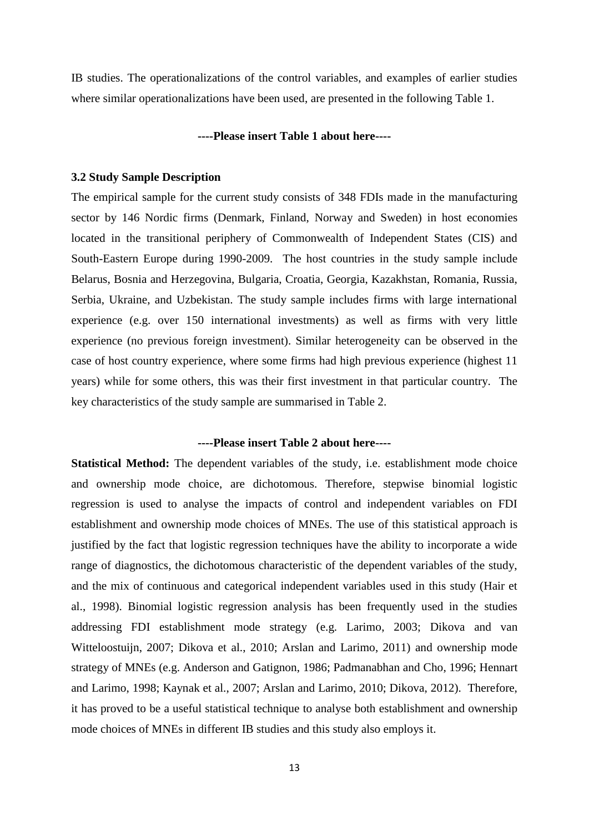IB studies. The operationalizations of the control variables, and examples of earlier studies where similar operationalizations have been used, are presented in the following Table 1.

## **----Please insert Table 1 about here----**

#### **3.2 Study Sample Description**

The empirical sample for the current study consists of 348 FDIs made in the manufacturing sector by 146 Nordic firms (Denmark, Finland, Norway and Sweden) in host economies located in the transitional periphery of Commonwealth of Independent States (CIS) and South-Eastern Europe during 1990-2009. The host countries in the study sample include Belarus, Bosnia and Herzegovina, Bulgaria, Croatia, Georgia, Kazakhstan, Romania, Russia, Serbia, Ukraine, and Uzbekistan. The study sample includes firms with large international experience (e.g. over 150 international investments) as well as firms with very little experience (no previous foreign investment). Similar heterogeneity can be observed in the case of host country experience, where some firms had high previous experience (highest 11 years) while for some others, this was their first investment in that particular country. The key characteristics of the study sample are summarised in Table 2.

#### **----Please insert Table 2 about here----**

Statistical Method: The dependent variables of the study, i.e. establishment mode choice and ownership mode choice, are dichotomous. Therefore, stepwise binomial logistic regression is used to analyse the impacts of control and independent variables on FDI establishment and ownership mode choices of MNEs. The use of this statistical approach is justified by the fact that logistic regression techniques have the ability to incorporate a wide range of diagnostics, the dichotomous characteristic of the dependent variables of the study, and the mix of continuous and categorical independent variables used in this study (Hair et al., 1998). Binomial logistic regression analysis has been frequently used in the studies addressing FDI establishment mode strategy (e.g. Larimo, 2003; Dikova and van Witteloostuijn, 2007; Dikova et al., 2010; Arslan and Larimo, 2011) and ownership mode strategy of MNEs (e.g. Anderson and Gatignon, 1986; Padmanabhan and Cho, 1996; Hennart and Larimo, 1998; Kaynak et al., 2007; Arslan and Larimo, 2010; Dikova, 2012). Therefore, it has proved to be a useful statistical technique to analyse both establishment and ownership mode choices of MNEs in different IB studies and this study also employs it.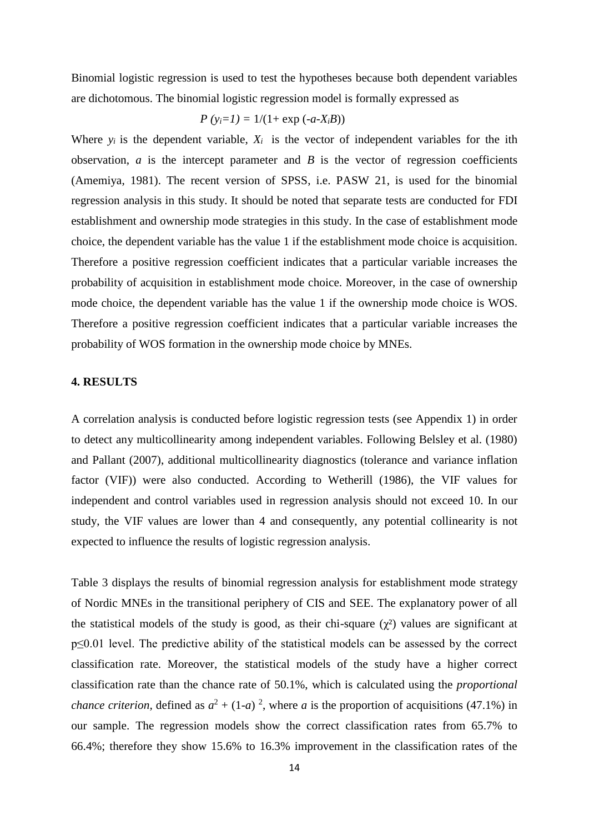Binomial logistic regression is used to test the hypotheses because both dependent variables are dichotomous. The binomial logistic regression model is formally expressed as

$$
P(y_i=1) = 1/(1 + \exp(-a - X_iB))
$$

Where  $y_i$  is the dependent variable,  $X_i$  is the vector of independent variables for the ith observation, *a* is the intercept parameter and *B* is the vector of regression coefficients (Amemiya, 1981). The recent version of SPSS, i.e. PASW 21, is used for the binomial regression analysis in this study. It should be noted that separate tests are conducted for FDI establishment and ownership mode strategies in this study. In the case of establishment mode choice, the dependent variable has the value 1 if the establishment mode choice is acquisition. Therefore a positive regression coefficient indicates that a particular variable increases the probability of acquisition in establishment mode choice. Moreover, in the case of ownership mode choice, the dependent variable has the value 1 if the ownership mode choice is WOS. Therefore a positive regression coefficient indicates that a particular variable increases the probability of WOS formation in the ownership mode choice by MNEs.

## **4. RESULTS**

A correlation analysis is conducted before logistic regression tests (see Appendix 1) in order to detect any multicollinearity among independent variables. Following Belsley et al. (1980) and Pallant (2007), additional multicollinearity diagnostics (tolerance and variance inflation factor (VIF)) were also conducted. According to Wetherill (1986), the VIF values for independent and control variables used in regression analysis should not exceed 10. In our study, the VIF values are lower than 4 and consequently, any potential collinearity is not expected to influence the results of logistic regression analysis.

Table 3 displays the results of binomial regression analysis for establishment mode strategy of Nordic MNEs in the transitional periphery of CIS and SEE. The explanatory power of all the statistical models of the study is good, as their chi-square  $(\gamma^2)$  values are significant at p≤0.01 level. The predictive ability of the statistical models can be assessed by the correct classification rate. Moreover, the statistical models of the study have a higher correct classification rate than the chance rate of 50.1%, which is calculated using the *proportional chance criterion*, defined as  $a^2 + (1-a)^2$ , where *a* is the proportion of acquisitions (47.1%) in our sample. The regression models show the correct classification rates from 65.7% to 66.4%; therefore they show 15.6% to 16.3% improvement in the classification rates of the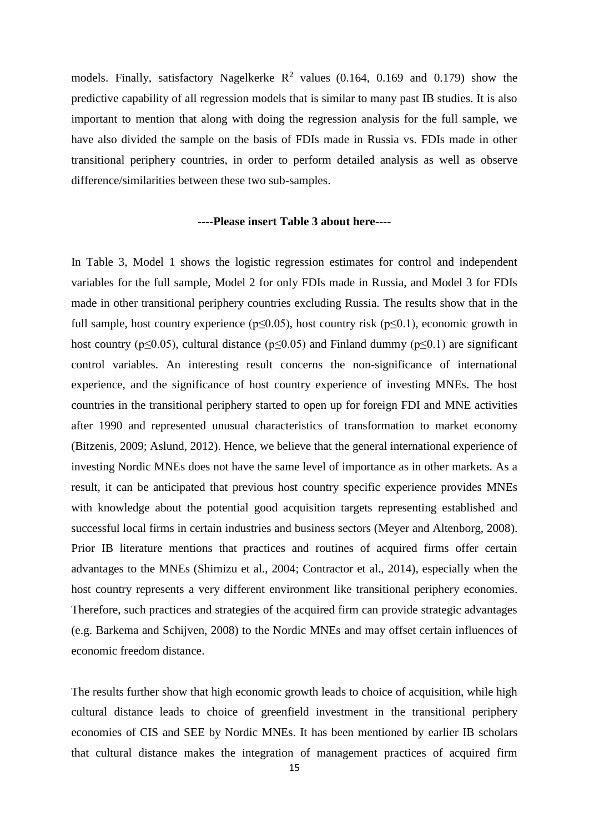models. Finally, satisfactory Nagelkerke  $R^2$  values (0.164, 0.169 and 0.179) show the predictive capability of all regression models that is similar to many past IB studies. It is also important to mention that along with doing the regression analysis for the full sample, we have also divided the sample on the basis of FDIs made in Russia vs. FDIs made in other transitional periphery countries, in order to perform detailed analysis as well as observe difference/similarities between these two sub-samples.

## **----Please insert Table 3 about here----**

In Table 3, Model 1 shows the logistic regression estimates for control and independent variables for the full sample, Model 2 for only FDIs made in Russia, and Model 3 for FDIs made in other transitional periphery countries excluding Russia. The results show that in the full sample, host country experience ( $p \le 0.05$ ), host country risk ( $p \le 0.1$ ), economic growth in host country ( $p\leq 0.05$ ), cultural distance ( $p\leq 0.05$ ) and Finland dummy ( $p\leq 0.1$ ) are significant control variables. An interesting result concerns the non-significance of international experience, and the significance of host country experience of investing MNEs. The host countries in the transitional periphery started to open up for foreign FDI and MNE activities after 1990 and represented unusual characteristics of transformation to market economy (Bitzenis, 2009; Aslund, 2012). Hence, we believe that the general international experience of investing Nordic MNEs does not have the same level of importance as in other markets. As a result, it can be anticipated that previous host country specific experience provides MNEs with knowledge about the potential good acquisition targets representing established and successful local firms in certain industries and business sectors (Meyer and Altenborg, 2008). Prior IB literature mentions that practices and routines of acquired firms offer certain advantages to the MNEs (Shimizu et al., 2004; Contractor et al., 2014), especially when the host country represents a very different environment like transitional periphery economies. Therefore, such practices and strategies of the acquired firm can provide strategic advantages (e.g. Barkema and Schijven, 2008) to the Nordic MNEs and may offset certain influences of economic freedom distance.

The results further show that high economic growth leads to choice of acquisition, while high cultural distance leads to choice of greenfield investment in the transitional periphery economies of CIS and SEE by Nordic MNEs. It has been mentioned by earlier IB scholars that cultural distance makes the integration of management practices of acquired firm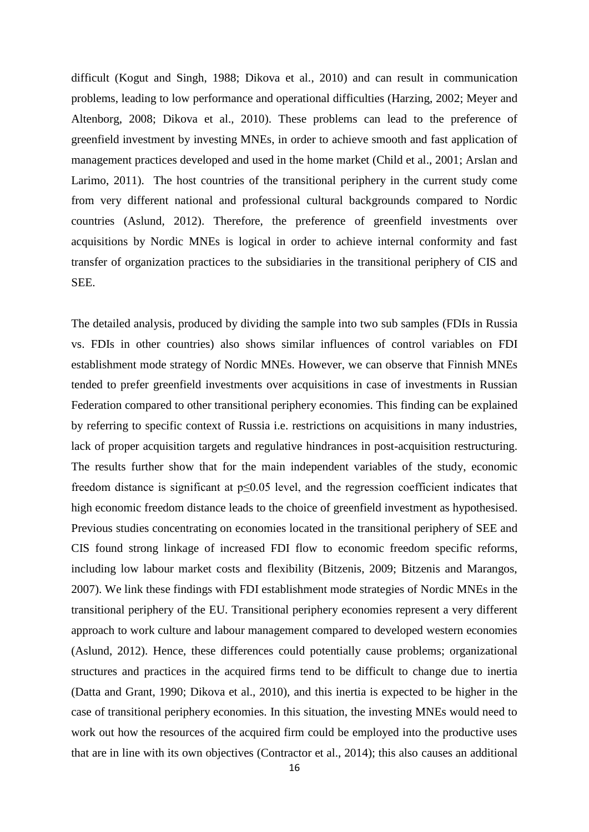difficult (Kogut and Singh, 1988; Dikova et al., 2010) and can result in communication problems, leading to low performance and operational difficulties (Harzing, 2002; Meyer and Altenborg, 2008; Dikova et al., 2010). These problems can lead to the preference of greenfield investment by investing MNEs, in order to achieve smooth and fast application of management practices developed and used in the home market (Child et al., 2001; Arslan and Larimo, 2011). The host countries of the transitional periphery in the current study come from very different national and professional cultural backgrounds compared to Nordic countries (Aslund, 2012). Therefore, the preference of greenfield investments over acquisitions by Nordic MNEs is logical in order to achieve internal conformity and fast transfer of organization practices to the subsidiaries in the transitional periphery of CIS and SEE.

The detailed analysis, produced by dividing the sample into two sub samples (FDIs in Russia vs. FDIs in other countries) also shows similar influences of control variables on FDI establishment mode strategy of Nordic MNEs. However, we can observe that Finnish MNEs tended to prefer greenfield investments over acquisitions in case of investments in Russian Federation compared to other transitional periphery economies. This finding can be explained by referring to specific context of Russia i.e. restrictions on acquisitions in many industries, lack of proper acquisition targets and regulative hindrances in post-acquisition restructuring. The results further show that for the main independent variables of the study, economic freedom distance is significant at p≤0.05 level, and the regression coefficient indicates that high economic freedom distance leads to the choice of greenfield investment as hypothesised. Previous studies concentrating on economies located in the transitional periphery of SEE and CIS found strong linkage of increased FDI flow to economic freedom specific reforms, including low labour market costs and flexibility (Bitzenis, 2009; Bitzenis and Marangos, 2007). We link these findings with FDI establishment mode strategies of Nordic MNEs in the transitional periphery of the EU. Transitional periphery economies represent a very different approach to work culture and labour management compared to developed western economies (Aslund, 2012). Hence, these differences could potentially cause problems; organizational structures and practices in the acquired firms tend to be difficult to change due to inertia (Datta and Grant, 1990; Dikova et al., 2010), and this inertia is expected to be higher in the case of transitional periphery economies. In this situation, the investing MNEs would need to work out how the resources of the acquired firm could be employed into the productive uses that are in line with its own objectives (Contractor et al., 2014); this also causes an additional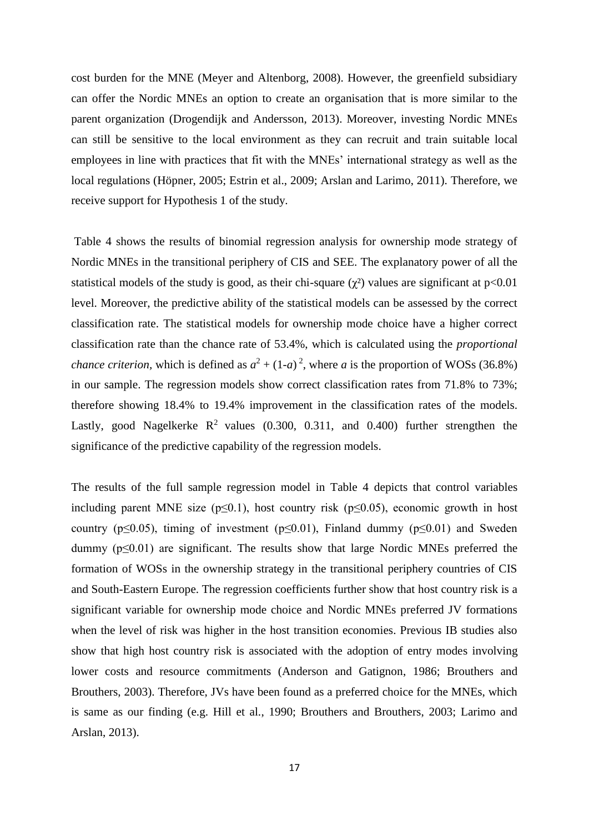cost burden for the MNE (Meyer and Altenborg, 2008). However, the greenfield subsidiary can offer the Nordic MNEs an option to create an organisation that is more similar to the parent organization (Drogendijk and Andersson, 2013). Moreover, investing Nordic MNEs can still be sensitive to the local environment as they can recruit and train suitable local employees in line with practices that fit with the MNEs' international strategy as well as the local regulations (Höpner, 2005; Estrin et al., 2009; Arslan and Larimo, 2011). Therefore, we receive support for Hypothesis 1 of the study.

Table 4 shows the results of binomial regression analysis for ownership mode strategy of Nordic MNEs in the transitional periphery of CIS and SEE. The explanatory power of all the statistical models of the study is good, as their chi-square ( $\chi^2$ ) values are significant at p<0.01 level. Moreover, the predictive ability of the statistical models can be assessed by the correct classification rate. The statistical models for ownership mode choice have a higher correct classification rate than the chance rate of 53.4%, which is calculated using the *proportional chance criterion*, which is defined as  $a^2 + (1-a)^2$ , where *a* is the proportion of WOSs (36.8%) in our sample. The regression models show correct classification rates from 71.8% to 73%; therefore showing 18.4% to 19.4% improvement in the classification rates of the models. Lastly, good Nagelkerke  $R^2$  values (0.300, 0.311, and 0.400) further strengthen the significance of the predictive capability of the regression models.

The results of the full sample regression model in Table 4 depicts that control variables including parent MNE size ( $p \le 0.1$ ), host country risk ( $p \le 0.05$ ), economic growth in host country ( $p\leq 0.05$ ), timing of investment ( $p\leq 0.01$ ), Finland dummy ( $p\leq 0.01$ ) and Sweden dummy  $(p \le 0.01)$  are significant. The results show that large Nordic MNEs preferred the formation of WOSs in the ownership strategy in the transitional periphery countries of CIS and South-Eastern Europe. The regression coefficients further show that host country risk is a significant variable for ownership mode choice and Nordic MNEs preferred JV formations when the level of risk was higher in the host transition economies. Previous IB studies also show that high host country risk is associated with the adoption of entry modes involving lower costs and resource commitments (Anderson and Gatignon, 1986; Brouthers and Brouthers, 2003). Therefore, JVs have been found as a preferred choice for the MNEs, which is same as our finding (e.g. Hill et al., 1990; Brouthers and Brouthers, 2003; Larimo and Arslan, 2013).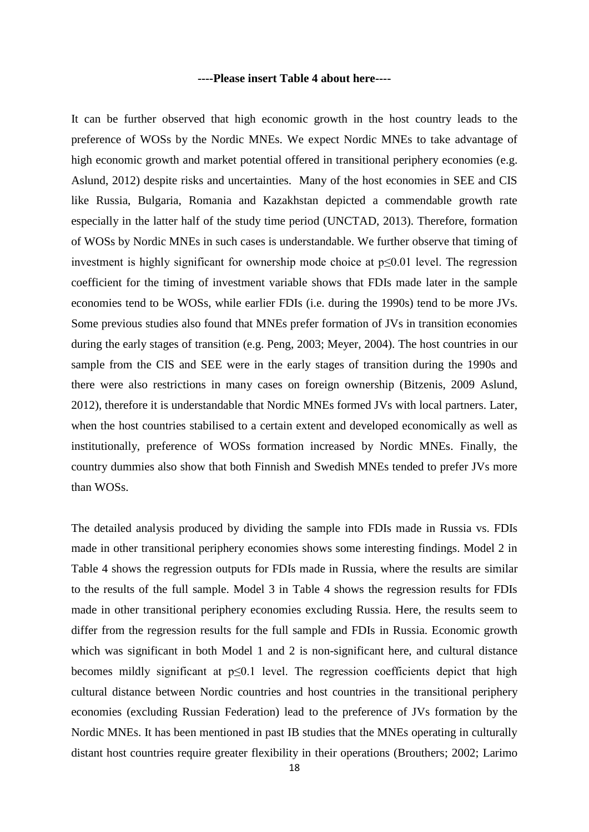## **----Please insert Table 4 about here----**

It can be further observed that high economic growth in the host country leads to the preference of WOSs by the Nordic MNEs. We expect Nordic MNEs to take advantage of high economic growth and market potential offered in transitional periphery economies (e.g. Aslund, 2012) despite risks and uncertainties. Many of the host economies in SEE and CIS like Russia, Bulgaria, Romania and Kazakhstan depicted a commendable growth rate especially in the latter half of the study time period (UNCTAD, 2013). Therefore, formation of WOSs by Nordic MNEs in such cases is understandable. We further observe that timing of investment is highly significant for ownership mode choice at p≤0.01 level. The regression coefficient for the timing of investment variable shows that FDIs made later in the sample economies tend to be WOSs, while earlier FDIs (i.e. during the 1990s) tend to be more JVs. Some previous studies also found that MNEs prefer formation of JVs in transition economies during the early stages of transition (e.g. Peng, 2003; Meyer, 2004). The host countries in our sample from the CIS and SEE were in the early stages of transition during the 1990s and there were also restrictions in many cases on foreign ownership (Bitzenis, 2009 Aslund, 2012), therefore it is understandable that Nordic MNEs formed JVs with local partners. Later, when the host countries stabilised to a certain extent and developed economically as well as institutionally, preference of WOSs formation increased by Nordic MNEs. Finally, the country dummies also show that both Finnish and Swedish MNEs tended to prefer JVs more than WOSs.

The detailed analysis produced by dividing the sample into FDIs made in Russia vs. FDIs made in other transitional periphery economies shows some interesting findings. Model 2 in Table 4 shows the regression outputs for FDIs made in Russia, where the results are similar to the results of the full sample. Model 3 in Table 4 shows the regression results for FDIs made in other transitional periphery economies excluding Russia. Here, the results seem to differ from the regression results for the full sample and FDIs in Russia. Economic growth which was significant in both Model 1 and 2 is non-significant here, and cultural distance becomes mildly significant at p≤0.1 level. The regression coefficients depict that high cultural distance between Nordic countries and host countries in the transitional periphery economies (excluding Russian Federation) lead to the preference of JVs formation by the Nordic MNEs. It has been mentioned in past IB studies that the MNEs operating in culturally distant host countries require greater flexibility in their operations (Brouthers; 2002; Larimo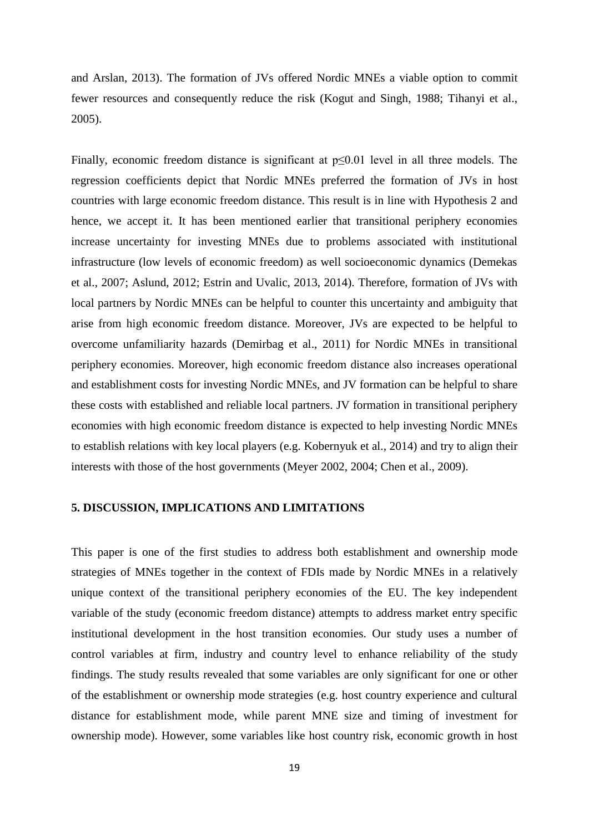and Arslan, 2013). The formation of JVs offered Nordic MNEs a viable option to commit fewer resources and consequently reduce the risk (Kogut and Singh, 1988; Tihanyi et al., 2005).

Finally, economic freedom distance is significant at p≤0.01 level in all three models. The regression coefficients depict that Nordic MNEs preferred the formation of JVs in host countries with large economic freedom distance. This result is in line with Hypothesis 2 and hence, we accept it. It has been mentioned earlier that transitional periphery economies increase uncertainty for investing MNEs due to problems associated with institutional infrastructure (low levels of economic freedom) as well socioeconomic dynamics (Demekas et al., 2007; Aslund, 2012; Estrin and Uvalic, 2013, 2014). Therefore, formation of JVs with local partners by Nordic MNEs can be helpful to counter this uncertainty and ambiguity that arise from high economic freedom distance. Moreover, JVs are expected to be helpful to overcome unfamiliarity hazards (Demirbag et al., 2011) for Nordic MNEs in transitional periphery economies. Moreover, high economic freedom distance also increases operational and establishment costs for investing Nordic MNEs, and JV formation can be helpful to share these costs with established and reliable local partners. JV formation in transitional periphery economies with high economic freedom distance is expected to help investing Nordic MNEs to establish relations with key local players (e.g. Kobernyuk et al., 2014) and try to align their interests with those of the host governments (Meyer 2002, 2004; Chen et al., 2009).

## **5. DISCUSSION, IMPLICATIONS AND LIMITATIONS**

This paper is one of the first studies to address both establishment and ownership mode strategies of MNEs together in the context of FDIs made by Nordic MNEs in a relatively unique context of the transitional periphery economies of the EU. The key independent variable of the study (economic freedom distance) attempts to address market entry specific institutional development in the host transition economies. Our study uses a number of control variables at firm, industry and country level to enhance reliability of the study findings. The study results revealed that some variables are only significant for one or other of the establishment or ownership mode strategies (e.g. host country experience and cultural distance for establishment mode, while parent MNE size and timing of investment for ownership mode). However, some variables like host country risk, economic growth in host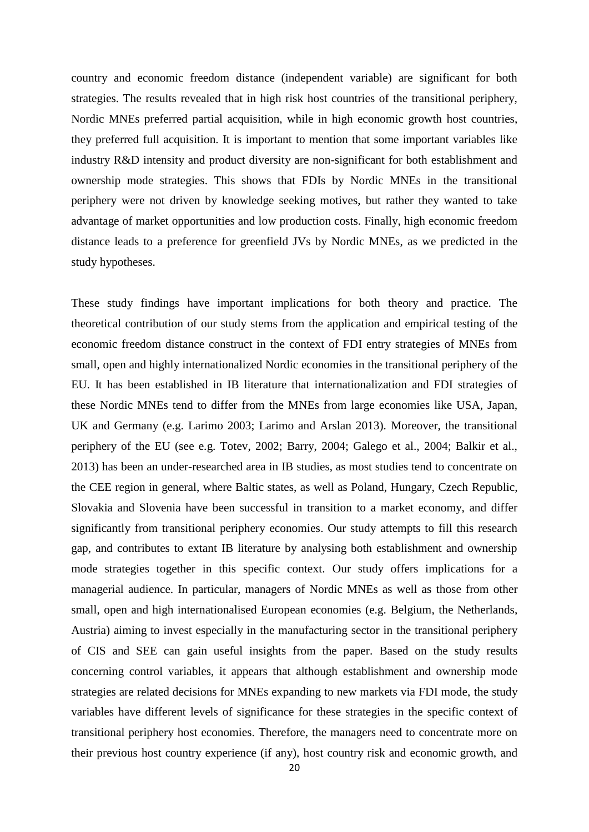country and economic freedom distance (independent variable) are significant for both strategies. The results revealed that in high risk host countries of the transitional periphery, Nordic MNEs preferred partial acquisition, while in high economic growth host countries, they preferred full acquisition. It is important to mention that some important variables like industry R&D intensity and product diversity are non-significant for both establishment and ownership mode strategies. This shows that FDIs by Nordic MNEs in the transitional periphery were not driven by knowledge seeking motives, but rather they wanted to take advantage of market opportunities and low production costs. Finally, high economic freedom distance leads to a preference for greenfield JVs by Nordic MNEs, as we predicted in the study hypotheses.

These study findings have important implications for both theory and practice. The theoretical contribution of our study stems from the application and empirical testing of the economic freedom distance construct in the context of FDI entry strategies of MNEs from small, open and highly internationalized Nordic economies in the transitional periphery of the EU. It has been established in IB literature that internationalization and FDI strategies of these Nordic MNEs tend to differ from the MNEs from large economies like USA, Japan, UK and Germany (e.g. Larimo 2003; Larimo and Arslan 2013). Moreover, the transitional periphery of the EU (see e.g. Totev, 2002; Barry, 2004; Galego et al., 2004; Balkir et al., 2013) has been an under-researched area in IB studies, as most studies tend to concentrate on the CEE region in general, where Baltic states, as well as Poland, Hungary, Czech Republic, Slovakia and Slovenia have been successful in transition to a market economy, and differ significantly from transitional periphery economies. Our study attempts to fill this research gap, and contributes to extant IB literature by analysing both establishment and ownership mode strategies together in this specific context. Our study offers implications for a managerial audience. In particular, managers of Nordic MNEs as well as those from other small, open and high internationalised European economies (e.g. Belgium, the Netherlands, Austria) aiming to invest especially in the manufacturing sector in the transitional periphery of CIS and SEE can gain useful insights from the paper. Based on the study results concerning control variables, it appears that although establishment and ownership mode strategies are related decisions for MNEs expanding to new markets via FDI mode, the study variables have different levels of significance for these strategies in the specific context of transitional periphery host economies. Therefore, the managers need to concentrate more on their previous host country experience (if any), host country risk and economic growth, and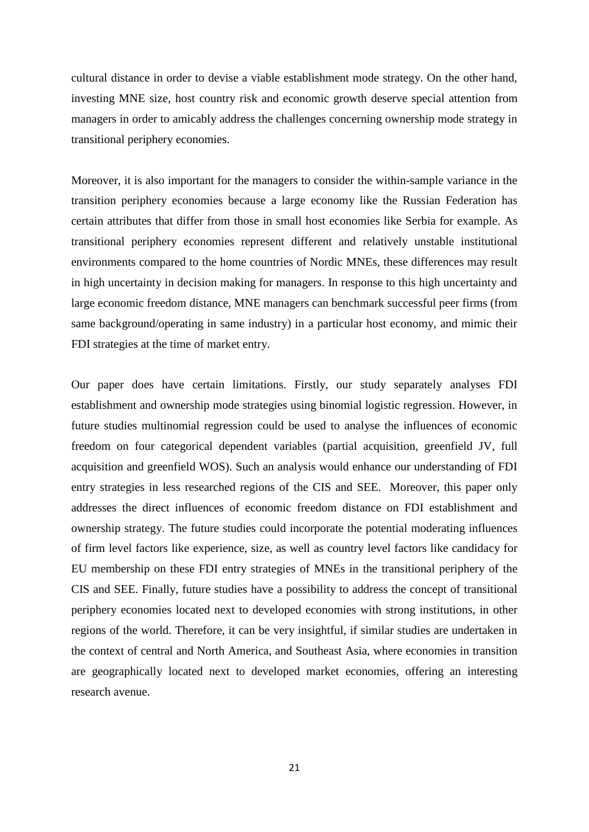cultural distance in order to devise a viable establishment mode strategy. On the other hand, investing MNE size, host country risk and economic growth deserve special attention from managers in order to amicably address the challenges concerning ownership mode strategy in transitional periphery economies.

Moreover, it is also important for the managers to consider the within-sample variance in the transition periphery economies because a large economy like the Russian Federation has certain attributes that differ from those in small host economies like Serbia for example. As transitional periphery economies represent different and relatively unstable institutional environments compared to the home countries of Nordic MNEs, these differences may result in high uncertainty in decision making for managers. In response to this high uncertainty and large economic freedom distance, MNE managers can benchmark successful peer firms (from same background/operating in same industry) in a particular host economy, and mimic their FDI strategies at the time of market entry.

Our paper does have certain limitations. Firstly, our study separately analyses FDI establishment and ownership mode strategies using binomial logistic regression. However, in future studies multinomial regression could be used to analyse the influences of economic freedom on four categorical dependent variables (partial acquisition, greenfield JV, full acquisition and greenfield WOS). Such an analysis would enhance our understanding of FDI entry strategies in less researched regions of the CIS and SEE. Moreover, this paper only addresses the direct influences of economic freedom distance on FDI establishment and ownership strategy. The future studies could incorporate the potential moderating influences of firm level factors like experience, size, as well as country level factors like candidacy for EU membership on these FDI entry strategies of MNEs in the transitional periphery of the CIS and SEE. Finally, future studies have a possibility to address the concept of transitional periphery economies located next to developed economies with strong institutions, in other regions of the world. Therefore, it can be very insightful, if similar studies are undertaken in the context of central and North America, and Southeast Asia, where economies in transition are geographically located next to developed market economies, offering an interesting research avenue.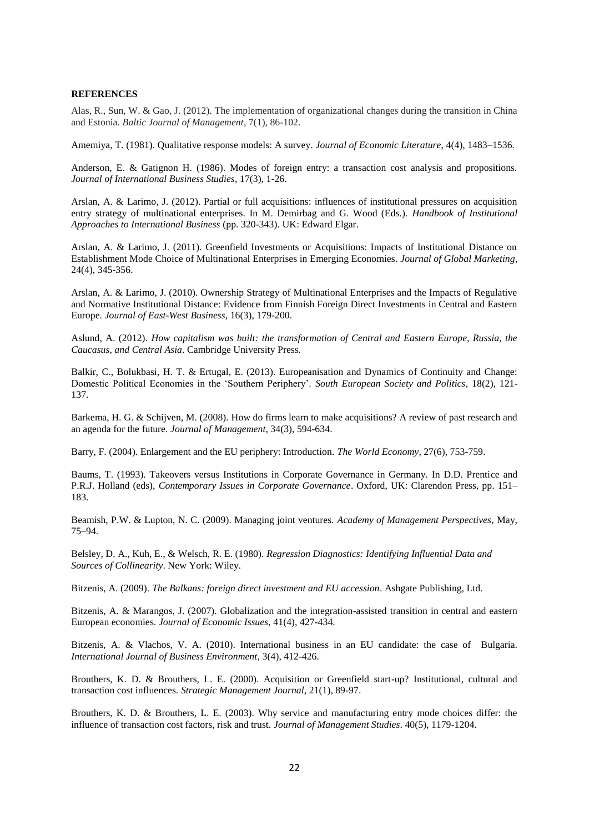#### **REFERENCES**

Alas, R., Sun, W. & Gao, J. (2012). The implementation of organizational changes during the transition in China and Estonia. *Baltic Journal of Management*, 7(1), 86-102.

Amemiya, T. (1981). Qualitative response models: A survey. *Journal of Economic Literature*, 4(4), 1483–1536.

Anderson, E. & Gatignon H. (1986). Modes of foreign entry: a transaction cost analysis and propositions. *Journal of International Business Studies*, 17(3), 1-26.

Arslan, A. & Larimo, J. (2012). Partial or full acquisitions: influences of institutional pressures on acquisition entry strategy of multinational enterprises. In M. Demirbag and G. Wood (Eds.). *Handbook of Institutional Approaches to International Business* (pp. 320-343). UK: Edward Elgar.

Arslan, A. & Larimo, J. (2011). Greenfield Investments or Acquisitions: Impacts of Institutional Distance on Establishment Mode Choice of Multinational Enterprises in Emerging Economies. *Journal of Global Marketing*, 24(4), 345-356.

Arslan, A. & Larimo, J. (2010). Ownership Strategy of Multinational Enterprises and the Impacts of Regulative and Normative Institutional Distance: Evidence from Finnish Foreign Direct Investments in Central and Eastern Europe. *Journal of East-West Business*, 16(3), 179-200.

Aslund, A. (2012). *How capitalism was built: the transformation of Central and Eastern Europe, Russia, the Caucasus, and Central Asia*. Cambridge University Press.

Balkir, C., Bolukbasi, H. T. & Ertugal, E. (2013). Europeanisation and Dynamics of Continuity and Change: Domestic Political Economies in the 'Southern Periphery'. *South European Society and Politics*, 18(2), 121- 137.

Barkema, H. G. & Schijven, M. (2008). How do firms learn to make acquisitions? A review of past research and an agenda for the future. *Journal of Management*, 34(3), 594-634.

Barry, F. (2004). Enlargement and the EU periphery: Introduction. *The World Economy*, 27(6), 753-759.

Baums, T. (1993). Takeovers versus Institutions in Corporate Governance in Germany. In D.D. Prentice and P.R.J. Holland (eds), *Contemporary Issues in Corporate Governance*. Oxford, UK: Clarendon Press, pp. 151– 183.

Beamish, P.W. & Lupton, N. C. (2009). Managing joint ventures. *Academy of Management Perspectives*, May, 75–94.

Belsley, D. A., Kuh, E., & Welsch, R. E. (1980). *Regression Diagnostics: Identifying Influential Data and Sources of Collinearity*. New York: Wiley.

Bitzenis, A. (2009). *The Balkans: foreign direct investment and EU accession*. Ashgate Publishing, Ltd.

Bitzenis, A. & Marangos, J. (2007). Globalization and the integration-assisted transition in central and eastern European economies. *Journal of Economic Issues*, 41(4), 427-434.

Bitzenis, A. & Vlachos, V. A. (2010). International business in an EU candidate: the case of Bulgaria. *International Journal of Business Environment*, 3(4), 412-426.

Brouthers, K. D. & Brouthers, L. E. (2000). Acquisition or Greenfield start-up? Institutional, cultural and transaction cost influences. *Strategic Management Journal*, 21(1), 89-97.

Brouthers, K. D. & Brouthers, L. E. (2003). Why service and manufacturing entry mode choices differ: the influence of transaction cost factors, risk and trust. *Journal of Management Studies*. 40(5), 1179-1204.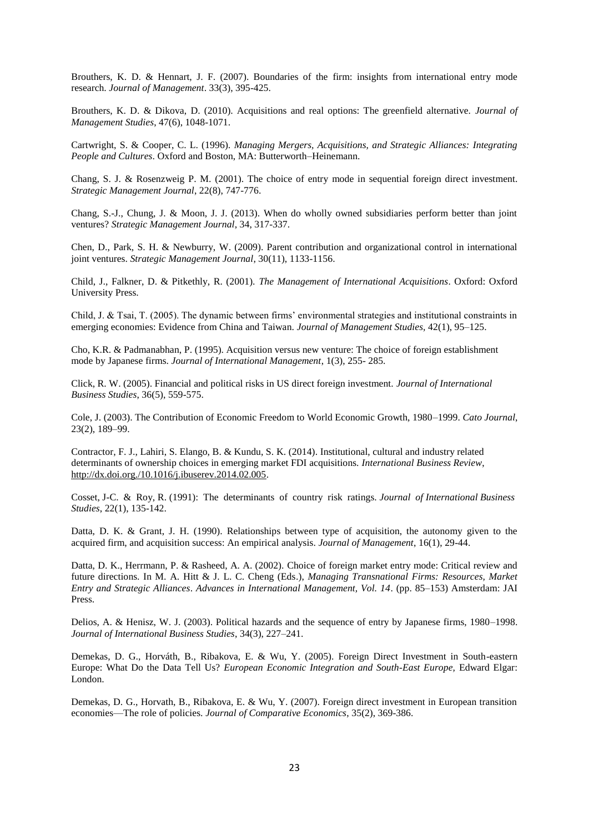Brouthers, K. D. & Hennart, J. F. (2007). Boundaries of the firm: insights from international entry mode research. *Journal of Management*. 33(3), 395-425.

Brouthers, K. D. & Dikova, D. (2010). Acquisitions and real options: The greenfield alternative. *Journal of Management Studies*, 47(6), 1048-1071.

Cartwright, S. & Cooper, C. L. (1996). *Managing Mergers, Acquisitions, and Strategic Alliances: Integrating People and Cultures*. Oxford and Boston, MA: Butterworth–Heinemann.

Chang, S. J. & Rosenzweig P. M. (2001). The choice of entry mode in sequential foreign direct investment. *Strategic Management Journal*, 22(8), 747-776.

Chang, S.-J., Chung, J. & Moon, J. J. (2013). When do wholly owned subsidiaries perform better than joint ventures? *Strategic Management Journal*, 34, 317-337.

Chen, D., Park, S. H. & Newburry, W. (2009). Parent contribution and organizational control in international joint ventures. *Strategic Management Journal*, 30(11), 1133-1156.

Child, J., Falkner, D. & Pitkethly, R. (2001). *The Management of International Acquisitions*. Oxford: Oxford University Press.

Child, J. & Tsai, T. (2005). The dynamic between firms' environmental strategies and institutional constraints in emerging economies: Evidence from China and Taiwan. *Journal of Management Studies,* 42(1), 95–125.

Cho, K.R. & Padmanabhan, P. (1995). Acquisition versus new venture: The choice of foreign establishment mode by Japanese firms. *Journal of International Management*, 1(3), 255- 285.

Click, R. W. (2005). Financial and political risks in US direct foreign investment. *Journal of International Business Studies*, 36(5), 559-575.

Cole, J. (2003). The Contribution of Economic Freedom to World Economic Growth, 1980–1999. *Cato Journal*, 23(2), 189–99.

Contractor, F. J., Lahiri, S. Elango, B. & Kundu, S. K. (2014). Institutional, cultural and industry related determinants of ownership choices in emerging market FDI acquisitions. *International Business Review*, [http://dx.doi.org./10.1016/j.ibuserev.2014.02.005.](http://dx.doi.org./10.1016/j.ibuserev.2014.02.005)

Cosset, J-C. & Roy, R. (1991): The determinants of country risk ratings. *Journal of International Business Studies*, 22(1), 135-142.

Datta, D. K. & Grant, J. H. (1990). Relationships between type of acquisition, the autonomy given to the acquired firm, and acquisition success: An empirical analysis. *Journal of Management*, 16(1), 29-44.

Datta, D. K., Herrmann, P. & Rasheed, A. A. (2002). Choice of foreign market entry mode: Critical review and future directions. In M. A. Hitt & J. L. C. Cheng (Eds.), *Managing Transnational Firms: Resources, Market Entry and Strategic Alliances*. *Advances in International Management, Vol. 14*. (pp. 85–153) Amsterdam: JAI Press.

Delios, A. & Henisz, W. J. (2003). Political hazards and the sequence of entry by Japanese firms, 1980–1998. *Journal of International Business Studies*, 34(3), 227–241.

Demekas, D. G., Horváth, B., Ribakova, E. & Wu, Y. (2005). Foreign Direct Investment in South-eastern Europe: What Do the Data Tell Us? *European Economic Integration and South-East Europe*, Edward Elgar: London.

Demekas, D. G., Horvath, B., Ribakova, E. & Wu, Y. (2007). Foreign direct investment in European transition economies—The role of policies. *Journal of Comparative Economics*, 35(2), 369-386.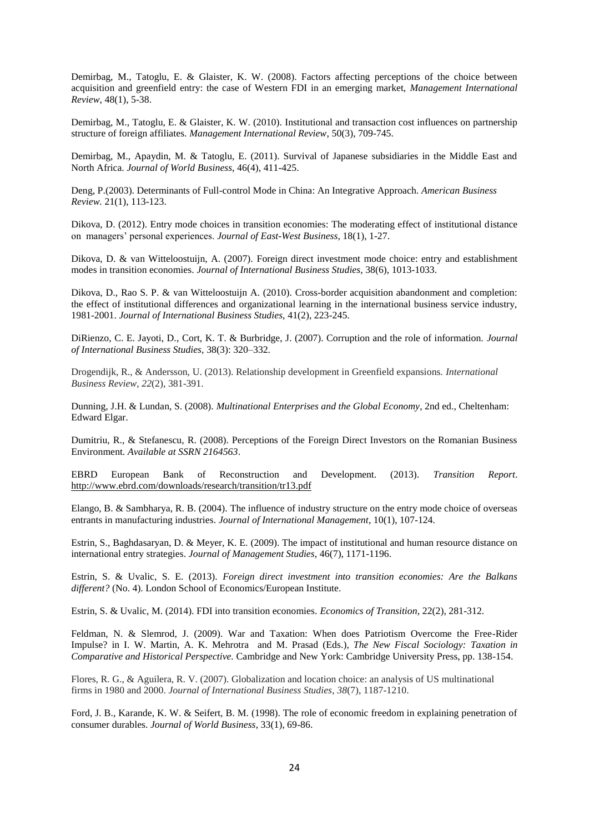Demirbag, M., Tatoglu, E. & Glaister, K. W. (2008). Factors affecting perceptions of the choice between acquisition and greenfield entry: the case of Western FDI in an emerging market, *Management International Review*, 48(1), 5-38.

Demirbag, M., Tatoglu, E. & Glaister, K. W. (2010). Institutional and transaction cost influences on partnership structure of foreign affiliates. *Management International Review*, 50(3), 709-745.

Demirbag, M., Apaydin, M. & Tatoglu, E. (2011). Survival of Japanese subsidiaries in the Middle East and North Africa. *Journal of World Business*, 46(4), 411-425.

Deng, P.(2003). Determinants of Full-control Mode in China: An Integrative Approach. *American Business Review.* 21(1), 113-123.

Dikova, D. (2012). Entry mode choices in transition economies: The moderating effect of institutional distance on managers' personal experiences. *Journal of East-West Business*, 18(1), 1-27.

Dikova, D. & van Witteloostuijn, A. (2007). Foreign direct investment mode choice: entry and establishment modes in transition economies. *Journal of International Business Studies*, 38(6), 1013-1033.

Dikova, D., Rao S. P. & van Witteloostuijn A. (2010). Cross-border acquisition abandonment and completion: the effect of institutional differences and organizational learning in the international business service industry, 1981-2001. *Journal of International Business Studies,* 41(2), 223-245.

DiRienzo, C. E. Jayoti, D., Cort, K. T. & Burbridge, J. (2007). Corruption and the role of information. *Journal of International Business Studies,* 38(3): 320–332.

Drogendijk, R., & Andersson, U. (2013). Relationship development in Greenfield expansions. *International Business Review*, *22*(2), 381-391.

Dunning, J.H. & Lundan, S. (2008). *Multinational Enterprises and the Global Economy*, 2nd ed., Cheltenham: Edward Elgar.

Dumitriu, R., & Stefanescu, R. (2008). Perceptions of the Foreign Direct Investors on the Romanian Business Environment. *Available at SSRN 2164563*.

EBRD European Bank of Reconstruction and Development. (2013). *Transition Report*. <http://www.ebrd.com/downloads/research/transition/tr13.pdf>

Elango, B. & Sambharya, R. B. (2004). The influence of industry structure on the entry mode choice of overseas entrants in manufacturing industries. *Journal of International Management*, 10(1), 107-124.

Estrin, S., Baghdasaryan, D. & Meyer, K. E. (2009). The impact of institutional and human resource distance on international entry strategies. *Journal of Management Studies*, 46(7), 1171-1196.

Estrin, S. & Uvalic, S. E. (2013). *Foreign direct investment into transition economies: Are the Balkans different?* (No. 4). London School of Economics/European Institute.

Estrin, S. & Uvalic, M. (2014). FDI into transition economies. *Economics of Transition*, 22(2), 281-312.

Feldman, N. & Slemrod, J. (2009). War and Taxation: When does Patriotism Overcome the Free-Rider Impulse? in I. W. Martin, A. K. Mehrotra and M. Prasad (Eds.), *The New Fiscal Sociology: Taxation in Comparative and Historical Perspective.* Cambridge and New York: Cambridge University Press, pp. 138-154.

Flores, R. G., & Aguilera, R. V. (2007). Globalization and location choice: an analysis of US multinational firms in 1980 and 2000. *Journal of International Business Studies*, *38*(7), 1187-1210.

Ford, J. B., Karande, K. W. & Seifert, B. M. (1998). The role of economic freedom in explaining penetration of consumer durables. *Journal of World Business*, 33(1), 69-86.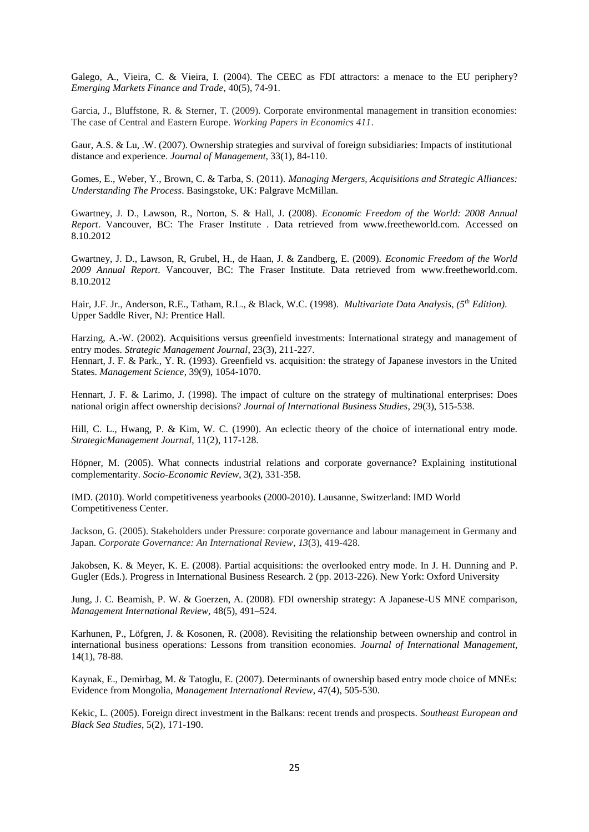Galego, A., Vieira, C. & Vieira, I. (2004). The CEEC as FDI attractors: a menace to the EU periphery? *Emerging Markets Finance and Trade*, 40(5), 74-91.

Garcia, J., Bluffstone, R. & Sterner, T. (2009). Corporate environmental management in transition economies: The case of Central and Eastern Europe. *Working Papers in Economics 411*.

Gaur, A.S. & Lu, .W. (2007). Ownership strategies and survival of foreign subsidiaries: Impacts of institutional distance and experience. *Journal of Management*, 33(1), 84-110.

Gomes, E., Weber, Y., Brown, C. & Tarba, S. (2011). *Managing Mergers, Acquisitions and Strategic Alliances: Understanding The Process*. Basingstoke, UK: Palgrave McMillan.

Gwartney, J. D., Lawson, R., Norton, S. & Hall, J. (2008). *Economic Freedom of the World: 2008 Annual Report*. Vancouver, BC: The Fraser Institute . Data retrieved from www.freetheworld.com. Accessed on 8.10.2012

Gwartney, J. D., Lawson, R, Grubel, H., de Haan, J. & Zandberg, E. (2009). *Economic Freedom of the World 2009 Annual Report*. Vancouver, BC: The Fraser Institute. Data retrieved from www.freetheworld.com. 8.10.2012

Hair, J.F. Jr., Anderson, R.E., Tatham, R.L., & Black, W.C. (1998). *Multivariate Data Analysis, (5th Edition)*. Upper Saddle River, NJ: Prentice Hall.

Harzing, A.-W. (2002). Acquisitions versus greenfield investments: International strategy and management of entry modes. *Strategic Management Journal*, 23(3), 211-227. Hennart, J. F. & Park., Y. R. (1993). Greenfield vs. acquisition: the strategy of Japanese investors in the United States. *Management Science*, 39(9), 1054-1070.

Hennart, J. F. & Larimo, J. (1998). The impact of culture on the strategy of multinational enterprises: Does national origin affect ownership decisions? *Journal of International Business Studies*, 29(3), 515-538.

Hill, C. L., Hwang, P. & Kim, W. C. (1990). An eclectic theory of the choice of international entry mode. *StrategicManagement Journal*, 11(2), 117-128.

Höpner, M. (2005). What connects industrial relations and corporate governance? Explaining institutional complementarity. *Socio-Economic Review*, 3(2), 331-358.

IMD. (2010). World competitiveness yearbooks (2000-2010). Lausanne, Switzerland: IMD World Competitiveness Center.

Jackson, G. (2005). Stakeholders under Pressure: corporate governance and labour management in Germany and Japan. *Corporate Governance: An International Review*, *13*(3), 419-428.

Jakobsen, K. & Meyer, K. E. (2008). Partial acquisitions: the overlooked entry mode. In J. H. Dunning and P. Gugler (Eds.). Progress in International Business Research. 2 (pp. 2013-226). New York: Oxford University

Jung, J. C. Beamish, P. W. & Goerzen, A. (2008). FDI ownership strategy: A Japanese-US MNE comparison, *Management International Review,* 48(5), 491–524.

Karhunen, P., Löfgren, J. & Kosonen, R. (2008). Revisiting the relationship between ownership and control in international business operations: Lessons from transition economies. *Journal of International Management*, 14(1), 78-88.

Kaynak, E., Demirbag, M. & Tatoglu, E. (2007). Determinants of ownership based entry mode choice of MNEs: Evidence from Mongolia, *Management International Review*, 47(4), 505-530.

Kekic, L. (2005). Foreign direct investment in the Balkans: recent trends and prospects. *Southeast European and Black Sea Studies*, 5(2), 171-190.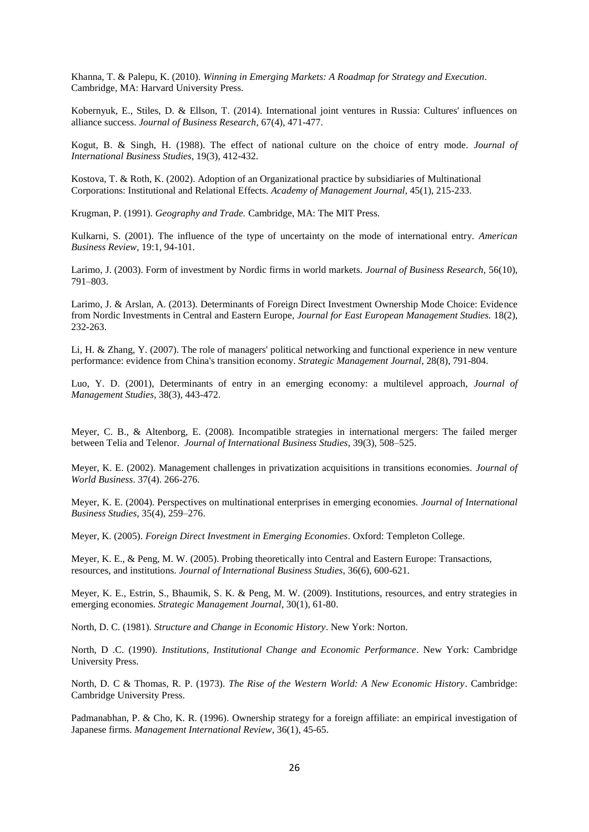Khanna, T. & Palepu, K. (2010). *Winning in Emerging Markets: A Roadmap for Strategy and Execution*. Cambridge, MA: Harvard University Press.

Kobernyuk, E., Stiles, D. & Ellson, T. (2014). International joint ventures in Russia: Cultures' influences on alliance success. *Journal of Business Research*, 67(4), 471-477.

Kogut, B. & Singh, H. (1988). The effect of national culture on the choice of entry mode. *Journal of International Business Studies*, 19(3), 412-432.

Kostova, T. & Roth, K. (2002). Adoption of an Organizational practice by subsidiaries of Multinational Corporations: Institutional and Relational Effects. *Academy of Management Journal,* 45(1), 215-233.

Krugman, P. (1991). *Geography and Trade.* Cambridge, MA: The MIT Press.

Kulkarni, S. (2001). The influence of the type of uncertainty on the mode of international entry. *American Business Review*, 19:1, 94-101.

Larimo, J. (2003). Form of investment by Nordic firms in world markets. *Journal of Business Research,* 56(10), 791–803.

Larimo, J. & Arslan, A. (2013). Determinants of Foreign Direct Investment Ownership Mode Choice: Evidence from Nordic Investments in Central and Eastern Europe, *Journal for East European Management Studies.* 18(2), 232-263.

Li, H. & Zhang, Y. (2007). The role of managers' political networking and functional experience in new venture performance: evidence from China's transition economy. *Strategic Management Journal*, 28(8), 791-804.

Luo, Y. D. (2001), Determinants of entry in an emerging economy: a multilevel approach, *Journal of Management Studies*, 38(3), 443-472.

Meyer, C. B., & Altenborg, E. (2008). Incompatible strategies in international mergers: The failed merger between Telia and Telenor. *Journal of International Business Studies*, 39(3), 508–525.

Meyer, K. E. (2002). Management challenges in privatization acquisitions in transitions economies. *Journal of World Business*. 37(4). 266-276.

Meyer, K. E. (2004). Perspectives on multinational enterprises in emerging economies. *Journal of International Business Studies*, 35(4), 259–276.

Meyer, K. (2005). *Foreign Direct Investment in Emerging Economies*. Oxford: Templeton College.

Meyer, K. E., & Peng, M. W. (2005). Probing theoretically into Central and Eastern Europe: Transactions, resources, and institutions. *Journal of International Business Studies*, 36(6), 600-621.

Meyer, K. E., Estrin, S., Bhaumik, S. K. & Peng, M. W. (2009). Institutions, resources, and entry strategies in emerging economies. *Strategic Management Journal*, 30(1), 61-80.

North, D. C. (1981). *Structure and Change in Economic History*. New York: Norton.

North, D .C. (1990). *Institutions, Institutional Change and Economic Performance*. New York: Cambridge University Press.

North, D. C & Thomas, R. P. (1973). *The Rise of the Western World: A New Economic History*. Cambridge: Cambridge University Press.

Padmanabhan, P. & Cho, K. R. (1996). Ownership strategy for a foreign affiliate: an empirical investigation of Japanese firms. *Management International Review*, 36(1), 45-65.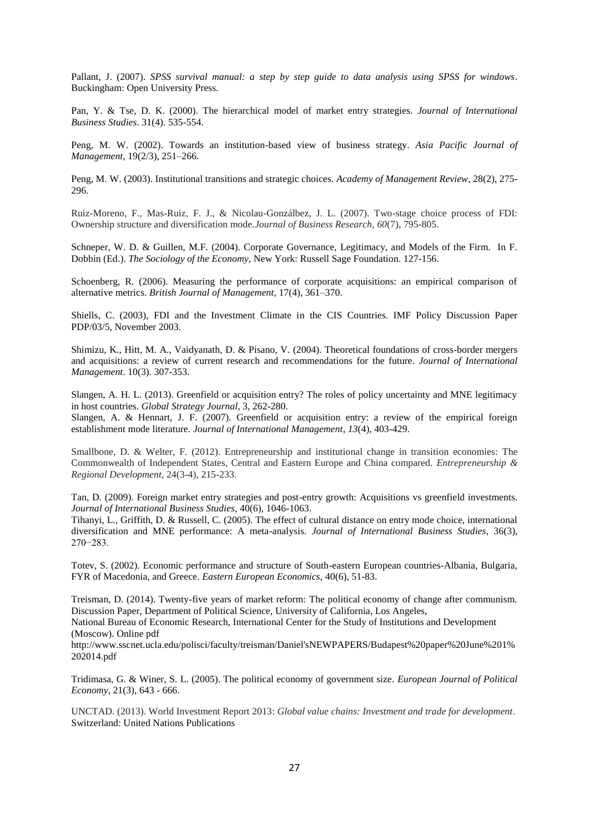Pallant, J. (2007). *SPSS survival manual: a step by step guide to data analysis using SPSS for windows*. Buckingham: Open University Press.

Pan, Y. & Tse, D. K. (2000). The hierarchical model of market entry strategies. *Journal of International Business Studies*. 31(4). 535-554.

Peng, M. W. (2002). Towards an institution-based view of business strategy. *Asia Pacific Journal of Management,* 19(2/3), 251–266.

Peng, M. W. (2003). Institutional transitions and strategic choices. *Academy of Management Review*, 28(2), 275- 296.

Ruiz-Moreno, F., Mas-Ruiz, F. J., & Nicolau-Gonzálbez, J. L. (2007). Two-stage choice process of FDI: Ownership structure and diversification mode.*Journal of Business Research*, *60*(7), 795-805.

Schneper, W. D. & Guillen, M.F. (2004). Corporate Governance, Legitimacy, and Models of the Firm. In F. Dobbin (Ed.). *The Sociology of the Economy,* New York: Russell Sage Foundation. 127-156.

Schoenberg, R. (2006). Measuring the performance of corporate acquisitions: an empirical comparison of alternative metrics. *British Journal of Management*, 17(4), 361–370.

Shiells, C. (2003), FDI and the Investment Climate in the CIS Countries. IMF Policy Discussion Paper PDP/03/5, November 2003.

Shimizu, K., Hitt, M. A., Vaidyanath, D. & Pisano, V. (2004). Theoretical foundations of cross-border mergers and acquisitions: a review of current research and recommendations for the future. *Journal of International Management*. 10(3). 307-353.

Slangen, A. H. L. (2013). Greenfield or acquisition entry? The roles of policy uncertainty and MNE legitimacy in host countries. *Global Strategy Journal*, 3, 262-280.

Slangen, A. & Hennart, J. F. (2007). Greenfield or acquisition entry: a review of the empirical foreign establishment mode literature. *Journal of International Management*, *13*(4), 403-429.

Smallbone, D. & Welter, F. (2012). Entrepreneurship and institutional change in transition economies: The Commonwealth of Independent States, Central and Eastern Europe and China compared. *Entrepreneurship & Regional Development*, 24(3-4), 215-233.

Tan, D. (2009). Foreign market entry strategies and post-entry growth: Acquisitions vs greenfield investments. *Journal of International Business Studies*, 40(6), 1046-1063.

Tihanyi, L., Griffith, D. & Russell, C. (2005). The effect of cultural distance on entry mode choice, international diversification and MNE performance: A meta-analysis. *Journal of International Business Studies*, 36(3), 270−283.

Totev, S. (2002). Economic performance and structure of South-eastern European countries-Albania, Bulgaria, FYR of Macedonia, and Greece. *Eastern European Economics*, 40(6), 51-83.

Treisman, D. (2014). Twenty-five years of market reform: The political economy of change after communism. Discussion Paper, Department of Political Science, University of California, Los Angeles,

National Bureau of Economic Research, International Center for the Study of Institutions and Development (Moscow). Online pdf

http://www.sscnet.ucla.edu/polisci/faculty/treisman/Daniel'sNEWPAPERS/Budapest%20paper%20June%201% 202014.pdf

Tridimasa, G. & Winer, S. L. (2005). The political economy of government size. *European Journal of Political Economy*, 21(3), 643 - 666.

UNCTAD. (2013). World Investment Report 2013: *Global value chains: Investment and trade for development*. Switzerland: United Nations Publications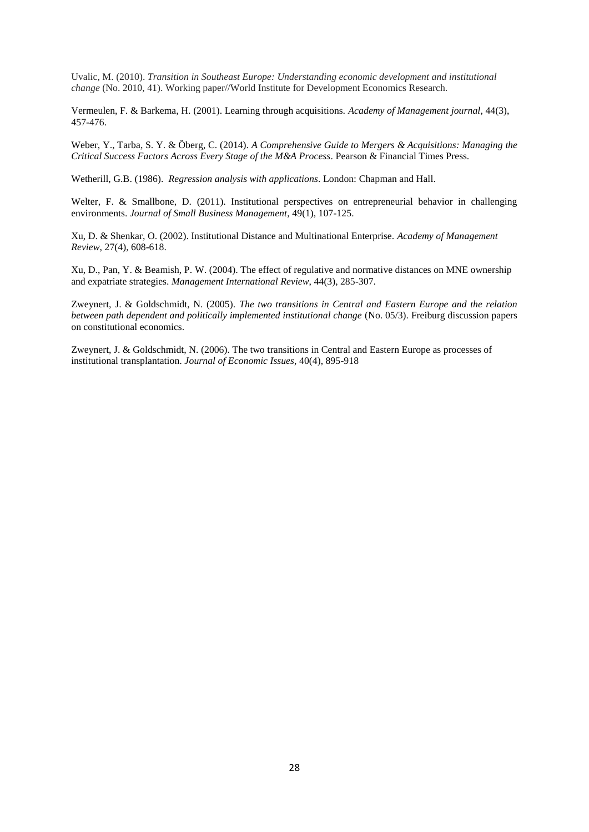Uvalic, M. (2010). *Transition in Southeast Europe: Understanding economic development and institutional change* (No. 2010, 41). Working paper//World Institute for Development Economics Research.

Vermeulen, F. & Barkema, H. (2001). Learning through acquisitions. *Academy of Management journal*, 44(3), 457-476.

Weber, Y., Tarba, S. Y. & Öberg, C. (2014). *A Comprehensive Guide to Mergers & Acquisitions: Managing the Critical Success Factors Across Every Stage of the M&A Process*. Pearson & Financial Times Press.

Wetherill, G.B. (1986). *Regression analysis with applications*. London: Chapman and Hall.

Welter, F. & Smallbone, D. (2011). Institutional perspectives on entrepreneurial behavior in challenging environments. *Journal of Small Business Management*, 49(1), 107-125.

Xu, D. & Shenkar, O. (2002). Institutional Distance and Multinational Enterprise. *Academy of Management Review*, 27(4), 608-618.

Xu, D., Pan, Y. & Beamish, P. W. (2004). The effect of regulative and normative distances on MNE ownership and expatriate strategies. *Management International Review*, 44(3), 285-307.

Zweynert, J. & Goldschmidt, N. (2005). *The two transitions in Central and Eastern Europe and the relation between path dependent and politically implemented institutional change* (No. 05/3). Freiburg discussion papers on constitutional economics.

Zweynert, J. & Goldschmidt, N. (2006). The two transitions in Central and Eastern Europe as processes of institutional transplantation. *Journal of Economic Issues*, 40(4), 895-918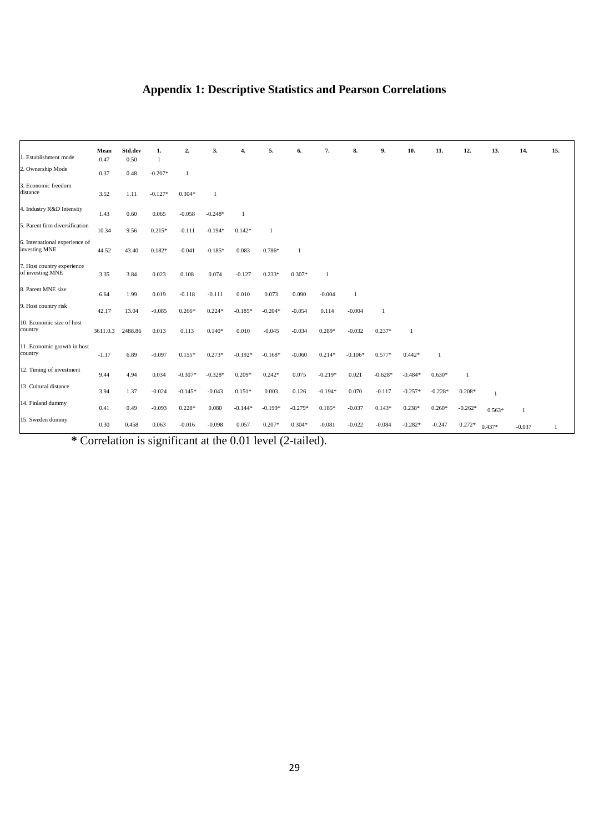# **Appendix 1: Descriptive Statistics and Pearson Correlations**

| . Establishment mode                            | Mean<br>0.47                      | Std.dev<br>0.50 | 1.                      | 2.             | 3.                           | 4.             | 5.        | 6.                      | 7.        | 8.           | 9.        | 10.       | 11.       | 12.            | 13.      | 14.          | 15.          |
|-------------------------------------------------|-----------------------------------|-----------------|-------------------------|----------------|------------------------------|----------------|-----------|-------------------------|-----------|--------------|-----------|-----------|-----------|----------------|----------|--------------|--------------|
| 2. Ownership Mode                               | 0.37                              | 0.48            | $-0.207*$               | $\overline{1}$ |                              |                |           |                         |           |              |           |           |           |                |          |              |              |
| 3. Economic freedom<br>distance                 | 3.52                              | 1.11            | $-0.127*$               | $0.304*$       | $\mathbf{1}$                 |                |           |                         |           |              |           |           |           |                |          |              |              |
| 4. Industry R&D Intensity                       | 1.43                              | 0.60            | 0.065                   | $-0.058$       | $-0.248*$                    |                |           |                         |           |              |           |           |           |                |          |              |              |
| 5. Parent firm diversification                  | 10.34                             | 9.56            | $0.215*$                | $-0.111$       | $-0.194*$                    | $0.142*$       |           |                         |           |              |           |           |           |                |          |              |              |
| 6. International experience of<br>investing MNE | 44.52                             | 43.40           | $0.182*$                | $-0.041$       | $-0.185*$                    | 0.083          | $0.786*$  |                         |           |              |           |           |           |                |          |              |              |
| 7. Host country experience<br>of investing MNE  | 3.35                              | 3.84            | 0.023                   | 0.108          | 0.074                        | $-0.127$       | $0.233*$  | $0.307*$                | -1        |              |           |           |           |                |          |              |              |
| 8. Parent MNE size                              | 6.64                              | 1.99            | 0.019                   | $-0.118$       | $-0.111$                     | 0.010          | 0.073     | 0.090                   | $-0.004$  | $\mathbf{1}$ |           |           |           |                |          |              |              |
| 9. Host country risk                            | 42.17                             | 13.04           | $-0.085$                | $0.266*$       | $0.224*$                     | $-0.185*$      | $-0.204*$ | $-0.054$                | 0.114     | $-0.004$     |           |           |           |                |          |              |              |
| 10. Economic size of host<br>country            | 3611.0.3                          | 2488.86         | 0.013                   | 0.113          | $0.140*$                     | 0.010          | $-0.045$  | $-0.034$                | $0.289*$  | $-0.032$     | $0.237*$  |           |           |                |          |              |              |
| 11. Economic growth in host<br>country          | $-1.17$                           | 6.89            | $-0.097$                | $0.155*$       | $0.273*$                     | $-0.192*$      | $-0.168*$ | $-0.060$                | $0.214*$  | $-0.106*$    | $0.577*$  | $0.442*$  |           |                |          |              |              |
| 12. Timing of investment                        | 9.44                              | 4.94            | 0.034                   | $-0.307*$      | $-0.328*$                    | $0.209*$       | $0.242*$  | 0.075                   | $-0.219*$ | 0.021        | $-0.628*$ | $-0.484*$ | $0.630*$  | $\overline{1}$ |          |              |              |
| 13. Cultural distance                           | 3.94                              | 1.37            | $-0.024$                | $-0.145*$      | $-0.043$                     | $0.151*$       | 0.003     | 0.126                   | $-0.194*$ | 0.070        | $-0.117$  | $-0.257*$ | $-0.228*$ | $0.208*$       |          |              |              |
| 14. Finland dummy                               | 0.41                              | 0.49            | $-0.093$                | $0.228*$       | 0.080                        | $-0.144*$      | $-0.199*$ | $-0.279*$               | $0.185*$  | $-0.037$     | $0.143*$  | $0.238*$  | $0.260*$  | $-0.262*$      | $0.563*$ | $\mathbf{1}$ |              |
| 15. Sweden dummy<br>$\sim$ $\sim$               | 0.30<br>$\mathbf{u}$ $\mathbf{v}$ | 0.458           | 0.063<br>$\cdot$ $\sim$ | $-0.016$       | $-0.098$<br>$\sim$ $\sim$ 1. | 0.057<br>0.011 | $0.207*$  | $0.304*$<br>$1/2$ $1/3$ | $-0.081$  | $-0.022$     | $-0.084$  | $-0.282*$ | $-0.247$  | $0.272*$       | $0.437*$ | $-0.037$     | $\mathbf{1}$ |

**\*** Correlation is significant at the 0.01 level (2-tailed).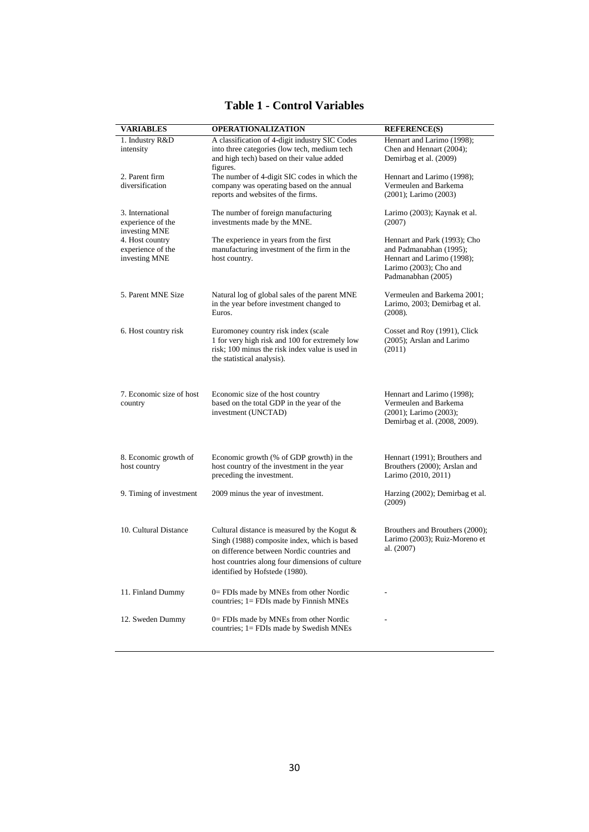| <b>VARIABLES</b>                    | <b>OPERATIONALIZATION</b>                                                         | <b>REFERENCE(S)</b>                                 |
|-------------------------------------|-----------------------------------------------------------------------------------|-----------------------------------------------------|
| 1. Industry R&D                     | A classification of 4-digit industry SIC Codes                                    | Hennart and Larimo (1998);                          |
| intensity                           | into three categories (low tech, medium tech                                      | Chen and Hennart (2004);                            |
|                                     | and high tech) based on their value added                                         | Demirbag et al. (2009)                              |
| 2. Parent firm                      | figures.<br>The number of 4-digit SIC codes in which the                          | Hennart and Larimo (1998);                          |
| diversification                     | company was operating based on the annual                                         | Vermeulen and Barkema                               |
|                                     | reports and websites of the firms.                                                | $(2001)$ ; Larimo $(2003)$                          |
|                                     |                                                                                   |                                                     |
| 3. International                    | The number of foreign manufacturing                                               | Larimo (2003); Kaynak et al.                        |
| experience of the<br>investing MNE  | investments made by the MNE.                                                      | (2007)                                              |
| 4. Host country                     | The experience in years from the first                                            | Hennart and Park (1993); Cho                        |
| experience of the                   | manufacturing investment of the firm in the                                       | and Padmanabhan (1995);                             |
| investing MNE                       | host country.                                                                     | Hennart and Larimo (1998);                          |
|                                     |                                                                                   | Larimo (2003); Cho and                              |
|                                     |                                                                                   | Padmanabhan (2005)                                  |
| 5. Parent MNE Size                  | Natural log of global sales of the parent MNE                                     | Vermeulen and Barkema 2001;                         |
|                                     | in the year before investment changed to                                          | Larimo, 2003; Demirbag et al.                       |
|                                     | Euros.                                                                            | (2008).                                             |
| 6. Host country risk                | Euromoney country risk index (scale                                               | Cosset and Roy (1991), Click                        |
|                                     | 1 for very high risk and 100 for extremely low                                    | $(2005)$ ; Arslan and Larimo                        |
|                                     | risk; 100 minus the risk index value is used in                                   | (2011)                                              |
|                                     | the statistical analysis).                                                        |                                                     |
|                                     |                                                                                   |                                                     |
|                                     |                                                                                   |                                                     |
| 7. Economic size of host<br>country | Economic size of the host country<br>based on the total GDP in the year of the    | Hennart and Larimo (1998);<br>Vermeulen and Barkema |
|                                     | investment (UNCTAD)                                                               | (2001); Larimo (2003);                              |
|                                     |                                                                                   | Demirbag et al. (2008, 2009).                       |
|                                     |                                                                                   |                                                     |
|                                     |                                                                                   |                                                     |
| 8. Economic growth of               | Economic growth (% of GDP growth) in the                                          | Hennart (1991); Brouthers and                       |
| host country                        | host country of the investment in the year                                        | Brouthers (2000); Arslan and                        |
|                                     | preceding the investment.                                                         | Larimo (2010, 2011)                                 |
| 9. Timing of investment             | 2009 minus the year of investment.                                                | Harzing (2002); Demirbag et al.                     |
|                                     |                                                                                   | (2009)                                              |
|                                     |                                                                                   |                                                     |
| 10. Cultural Distance               | Cultural distance is measured by the Kogut $\&$                                   | Brouthers and Brouthers (2000);                     |
|                                     | Singh (1988) composite index, which is based                                      | Larimo (2003); Ruiz-Moreno et                       |
|                                     | on difference between Nordic countries and                                        | al. (2007)                                          |
|                                     | host countries along four dimensions of culture                                   |                                                     |
|                                     | identified by Hofstede (1980).                                                    |                                                     |
|                                     |                                                                                   |                                                     |
| 11. Finland Dummy                   | 0= FDIs made by MNEs from other Nordic<br>countries; 1= FDIs made by Finnish MNEs |                                                     |
|                                     |                                                                                   |                                                     |
| 12. Sweden Dummy                    | 0= FDIs made by MNEs from other Nordic                                            |                                                     |
|                                     | countries; 1= FDIs made by Swedish MNEs                                           |                                                     |
|                                     |                                                                                   |                                                     |

## **Table 1 - Control Variables**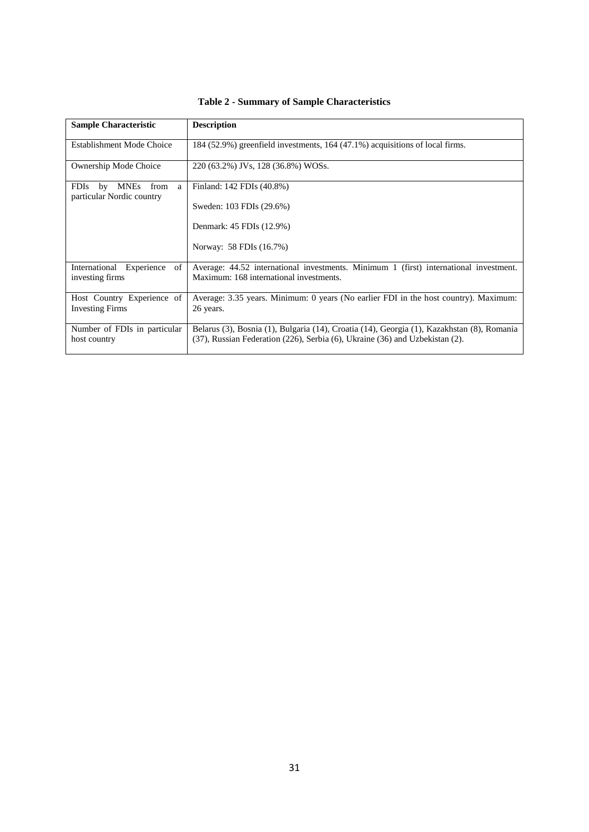| <b>Sample Characteristic</b>                                               | <b>Description</b>                                                                         |  |  |  |  |
|----------------------------------------------------------------------------|--------------------------------------------------------------------------------------------|--|--|--|--|
| Establishment Mode Choice                                                  | 184 (52.9%) greenfield investments, 164 (47.1%) acquisitions of local firms.               |  |  |  |  |
| Ownership Mode Choice                                                      | 220 (63.2%) JVs, 128 (36.8%) WOSs.                                                         |  |  |  |  |
| <b>MNEs</b><br><b>FDIs</b><br>by<br>from<br>a<br>particular Nordic country | Finland: 142 FDIs (40.8%)                                                                  |  |  |  |  |
|                                                                            | Sweden: 103 FDIs (29.6%)                                                                   |  |  |  |  |
|                                                                            | Denmark: 45 FDIs (12.9%)                                                                   |  |  |  |  |
|                                                                            | Norway: 58 FDIs (16.7%)                                                                    |  |  |  |  |
| Experience<br>International<br>of                                          | Average: 44.52 international investments. Minimum 1 (first) international investment.      |  |  |  |  |
| investing firms                                                            | Maximum: 168 international investments.                                                    |  |  |  |  |
| Host Country Experience of                                                 | Average: 3.35 years. Minimum: 0 years (No earlier FDI in the host country). Maximum:       |  |  |  |  |
| <b>Investing Firms</b>                                                     | 26 years.                                                                                  |  |  |  |  |
| Number of FDIs in particular                                               | Belarus (3), Bosnia (1), Bulgaria (14), Croatia (14), Georgia (1), Kazakhstan (8), Romania |  |  |  |  |
| host country                                                               | (37), Russian Federation (226), Serbia (6), Ukraine (36) and Uzbekistan (2).               |  |  |  |  |

## **Table 2 - Summary of Sample Characteristics**